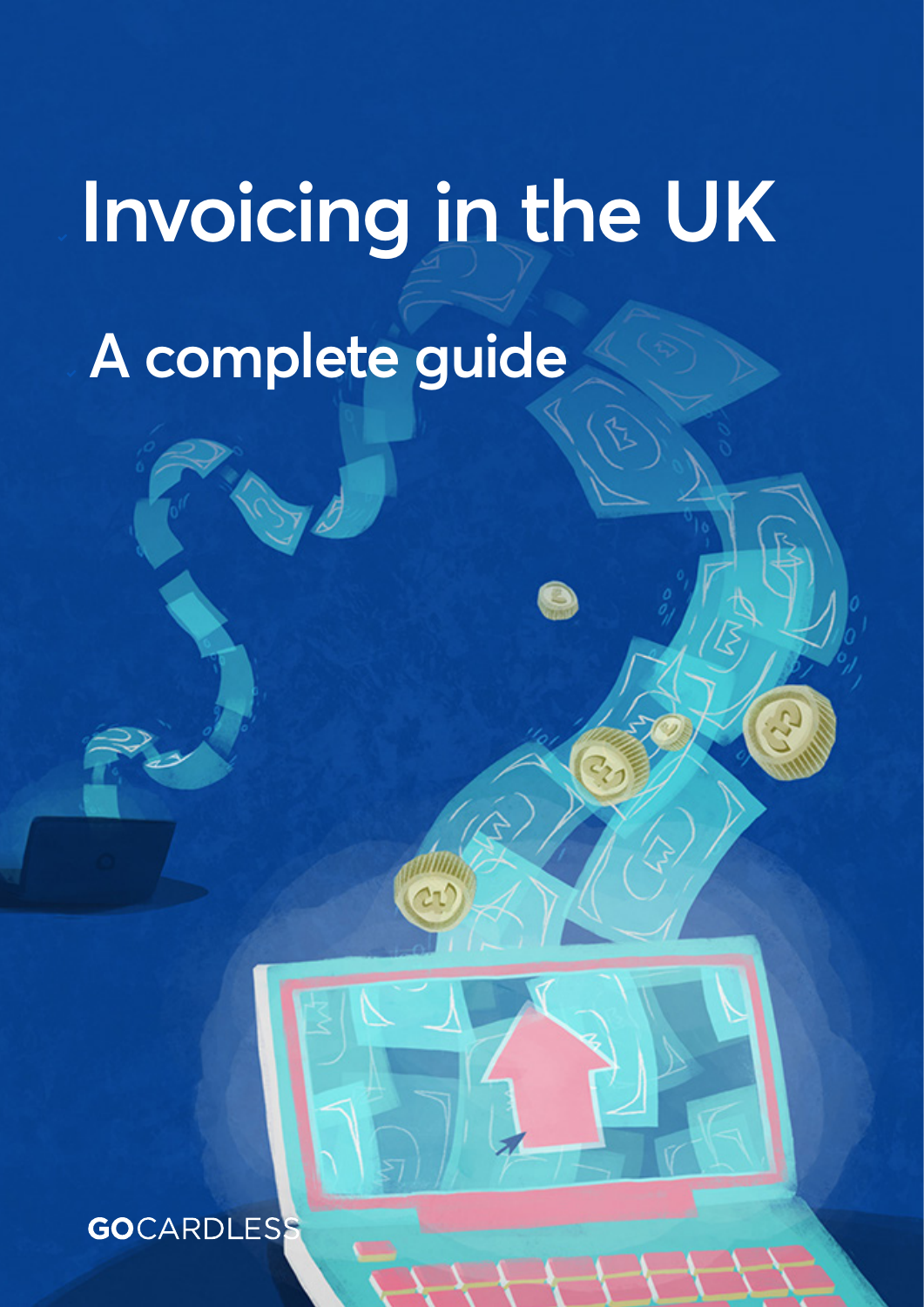# **Invoicing in the UK A complete guide**

Gocardian Service and Complete guide 1999 and 2000 and 2000 and 2000 and 2000 and 2000 and 2000 and 2000 and 20

**GO**CARDLESS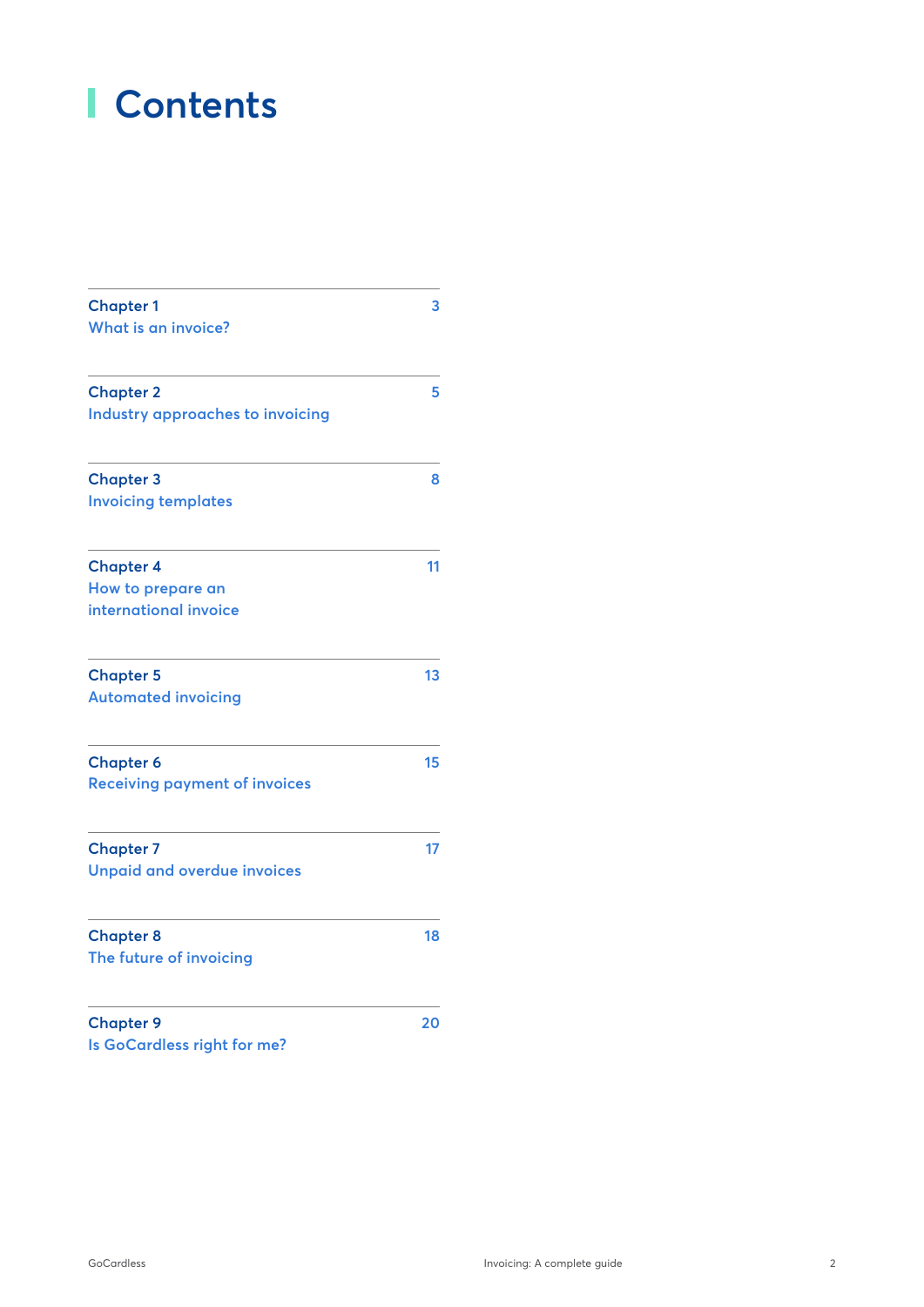# **Contents**

| <b>Chapter 1</b>                     | 3  |
|--------------------------------------|----|
| What is an invoice?                  |    |
| <b>Chapter 2</b>                     | 5  |
| Industry approaches to invoicing     |    |
| <b>Chapter 3</b>                     | 8  |
| <b>Invoicing templates</b>           |    |
| <b>Chapter 4</b>                     | 11 |
| How to prepare an                    |    |
| international invoice                |    |
| <b>Chapter 5</b>                     | 13 |
| <b>Automated invoicing</b>           |    |
| <b>Chapter 6</b>                     | 15 |
| <b>Receiving payment of invoices</b> |    |
| <b>Chapter 7</b>                     | 17 |
| <b>Unpaid and overdue invoices</b>   |    |
| <b>Chapter 8</b>                     | 18 |
| The future of invoicing              |    |
| <b>Chapter 9</b>                     | 20 |

**[Is GoCardless right for me?](#page-19-0)**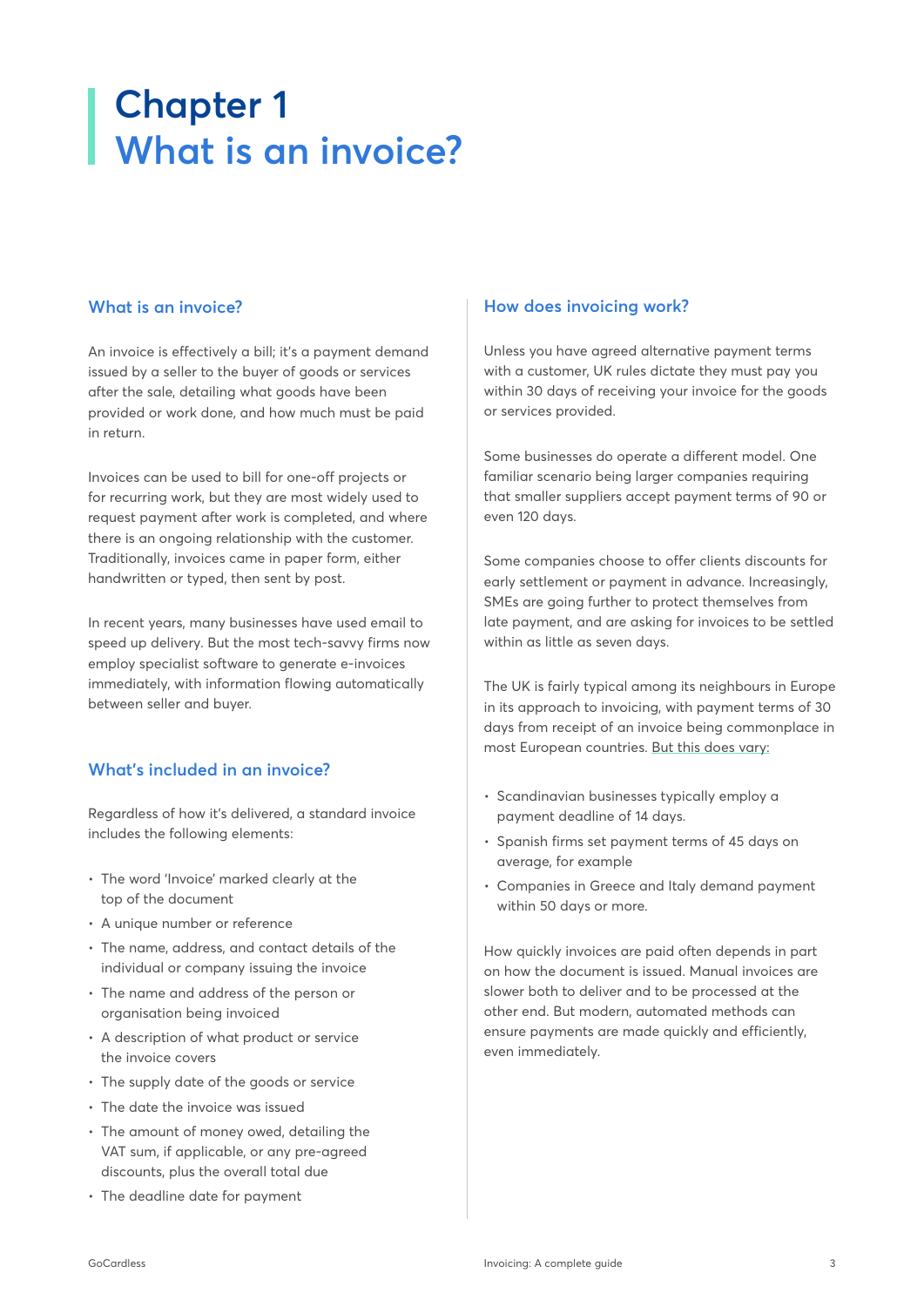# <span id="page-2-0"></span>**Chapter 1 What is an invoice?**

# **What is an invoice?**

An invoice is effectively a bill; it's a payment demand issued by a seller to the buyer of goods or services after the sale, detailing what goods have been provided or work done, and how much must be paid in return.

Invoices can be used to bill for one-off projects or for recurring work, but they are most widely used to request payment after work is completed, and where there is an ongoing relationship with the customer. Traditionally, invoices came in paper form, either handwritten or typed, then sent by post.

In recent years, many businesses have used email to speed up delivery. But the most tech-savvy firms now employ specialist software to generate e-invoices immediately, with information flowing automatically between seller and buyer.

# **What's included in an invoice?**

Regardless of how it's delivered, a standard invoice includes the following elements:

- The word 'Invoice' marked clearly at the top of the document
- A unique number or reference
- The name, address, and contact details of the individual or company issuing the invoice
- The name and address of the person or organisation being invoiced
- A description of what product or service the invoice covers
- The supply date of the goods or service
- The date the invoice was issued
- The amount of money owed, detailing the VAT sum, if applicable, or any pre-agreed discounts, plus the overall total due
- The deadline date for payment

### **How does invoicing work?**

Unless you have agreed alternative payment terms with a customer, UK rules dictate they must pay you within 30 days of receiving your invoice for the goods or services provided.

Some businesses do operate a different model. One familiar scenario being larger companies requiring that smaller suppliers accept payment terms of 90 or even 120 days.

Some companies choose to offer clients discounts for early settlement or payment in advance. Increasingly, SMEs are going further to protect themselves from late payment, and are asking for invoices to be settled within as little as seven days.

The UK is fairly typical among its neighbours in Europe in its approach to invoicing, with payment terms of 30 days from receipt of an invoice being commonplace in most European countries. [But this does vary:](https://atradius.co.uk/reports/payment-practices-barometer-western-europe-2017.html)

- Scandinavian businesses typically employ a payment deadline of 14 days.
- Spanish firms set payment terms of 45 days on average, for example
- Companies in Greece and Italy demand payment within 50 days or more.

How quickly invoices are paid often depends in part on how the document is issued. Manual invoices are slower both to deliver and to be processed at the other end. But modern, automated methods can ensure payments are made quickly and efficiently, even immediately.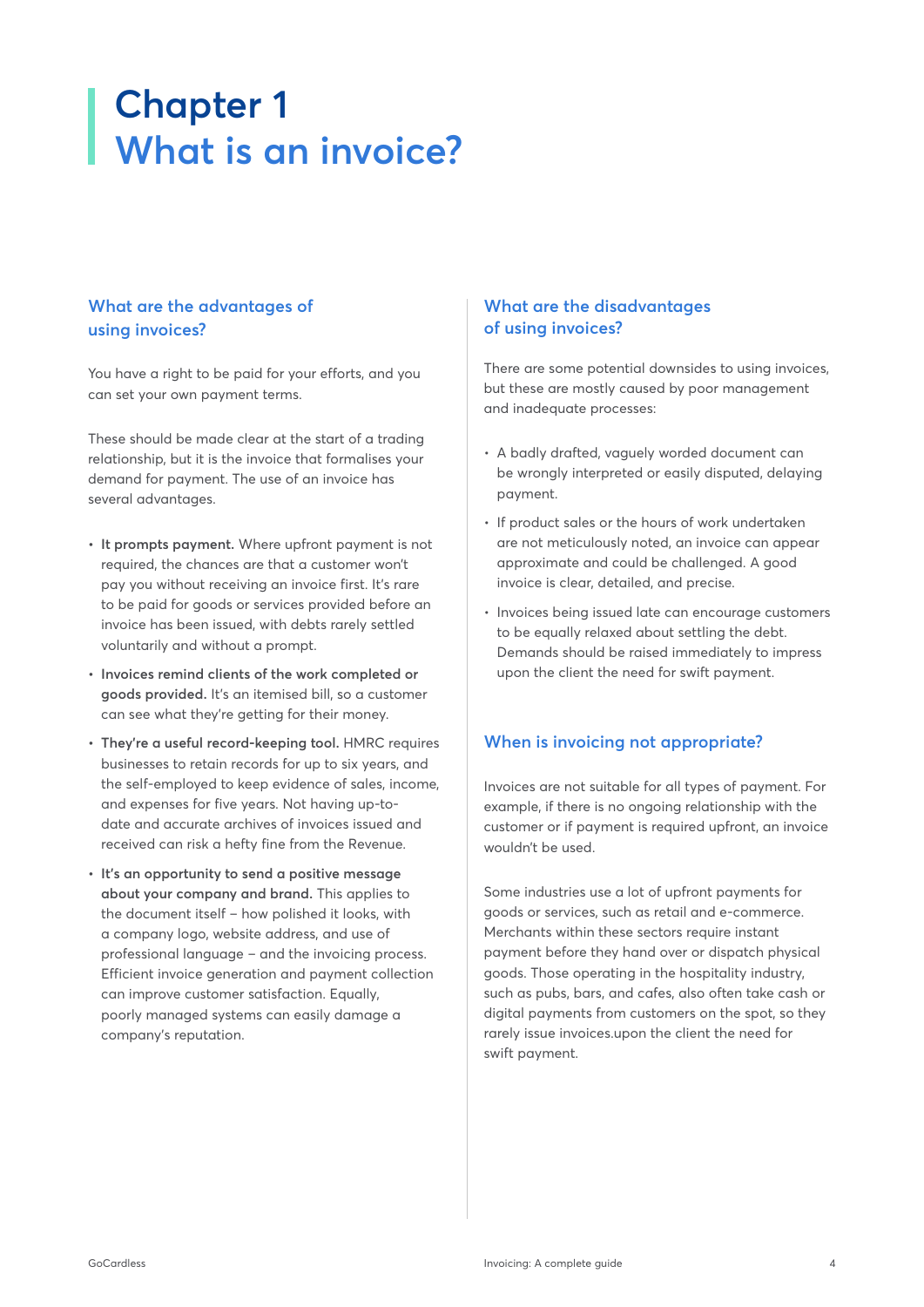# **Chapter 1 What is an invoice?**

# **What are the advantages of using invoices?**

You have a right to be paid for your efforts, and you can set your own payment terms.

These should be made clear at the start of a trading relationship, but it is the invoice that formalises your demand for payment. The use of an invoice has several advantages.

- **• It prompts payment.** Where upfront payment is not required, the chances are that a customer won't pay you without receiving an invoice first. It's rare to be paid for goods or services provided before an invoice has been issued, with debts rarely settled voluntarily and without a prompt.
- **• Invoices remind clients of the work completed or goods provided.** It's an itemised bill, so a customer can see what they're getting for their money.
- **• They're a useful record-keeping tool.** HMRC requires businesses to retain records for up to six years, and the self-employed to keep evidence of sales, income, and expenses for five years. Not having up-todate and accurate archives of invoices issued and received can risk a hefty fine from the Revenue.
- **• It's an opportunity to send a positive message about your company and brand.** This applies to the document itself – how polished it looks, with a company logo, website address, and use of professional language – and the invoicing process. Efficient invoice generation and payment collection can improve customer satisfaction. Equally, poorly managed systems can easily damage a company's reputation.

# **What are the disadvantages of using invoices?**

There are some potential downsides to using invoices, but these are mostly caused by poor management and inadequate processes:

- A badly drafted, vaguely worded document can be wrongly interpreted or easily disputed, delaying payment.
- If product sales or the hours of work undertaken are not meticulously noted, an invoice can appear approximate and could be challenged. A good invoice is clear, detailed, and precise.
- Invoices being issued late can encourage customers to be equally relaxed about settling the debt. Demands should be raised immediately to impress upon the client the need for swift payment.

# **When is invoicing not appropriate?**

Invoices are not suitable for all types of payment. For example, if there is no ongoing relationship with the customer or if payment is required upfront, an invoice wouldn't be used.

Some industries use a lot of upfront payments for goods or services, such as retail and e-commerce. Merchants within these sectors require instant payment before they hand over or dispatch physical goods. Those operating in the hospitality industry, such as pubs, bars, and cafes, also often take cash or digital payments from customers on the spot, so they rarely issue invoices.upon the client the need for swift payment.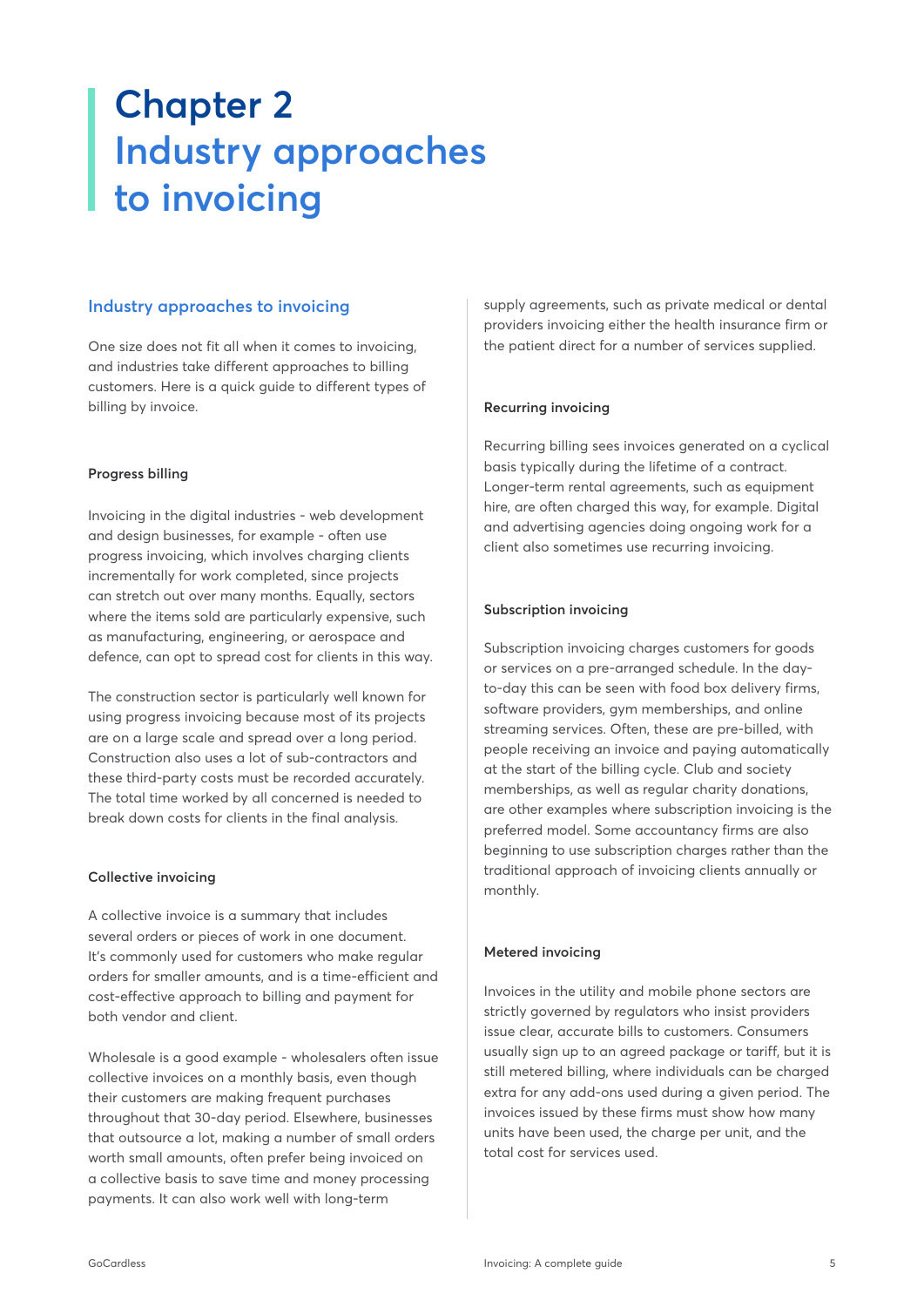# <span id="page-4-0"></span>**Chapter 2 Industry approaches to invoicing**

### **Industry approaches to invoicing**

One size does not fit all when it comes to invoicing, and industries take different approaches to billing customers. Here is a quick guide to different types of billing by invoice.

#### **Progress billing**

Invoicing in the digital industries - web development and design businesses, for example - often use progress invoicing, which involves charging clients incrementally for work completed, since projects can stretch out over many months. Equally, sectors where the items sold are particularly expensive, such as manufacturing, engineering, or aerospace and defence, can opt to spread cost for clients in this way.

The construction sector is particularly well known for using progress invoicing because most of its projects are on a large scale and spread over a long period. Construction also uses a lot of sub-contractors and these third-party costs must be recorded accurately. The total time worked by all concerned is needed to break down costs for clients in the final analysis.

#### **Collective invoicing**

A collective invoice is a summary that includes several orders or pieces of work in one document. It's commonly used for customers who make regular orders for smaller amounts, and is a time-efficient and cost-effective approach to billing and payment for both vendor and client.

Wholesale is a good example - wholesalers often issue collective invoices on a monthly basis, even though their customers are making frequent purchases throughout that 30-day period. Elsewhere, businesses that outsource a lot, making a number of small orders worth small amounts, often prefer being invoiced on a collective basis to save time and money processing payments. It can also work well with long-term

supply agreements, such as private medical or dental providers invoicing either the health insurance firm or the patient direct for a number of services supplied.

#### **Recurring invoicing**

Recurring billing sees invoices generated on a cyclical basis typically during the lifetime of a contract. Longer-term rental agreements, such as equipment hire, are often charged this way, for example. Digital and advertising agencies doing ongoing work for a client also sometimes use recurring invoicing.

#### **Subscription invoicing**

Subscription invoicing charges customers for goods or services on a pre-arranged schedule. In the dayto-day this can be seen with food box delivery firms, software providers, gym memberships, and online streaming services. Often, these are pre-billed, with people receiving an invoice and paying automatically at the start of the billing cycle. Club and society memberships, as well as regular charity donations, are other examples where subscription invoicing is the preferred model. Some accountancy firms are also beginning to use subscription charges rather than the traditional approach of invoicing clients annually or monthly.

### **Metered invoicing**

Invoices in the utility and mobile phone sectors are strictly governed by regulators who insist providers issue clear, accurate bills to customers. Consumers usually sign up to an agreed package or tariff, but it is still metered billing, where individuals can be charged extra for any add-ons used during a given period. The invoices issued by these firms must show how many units have been used, the charge per unit, and the total cost for services used.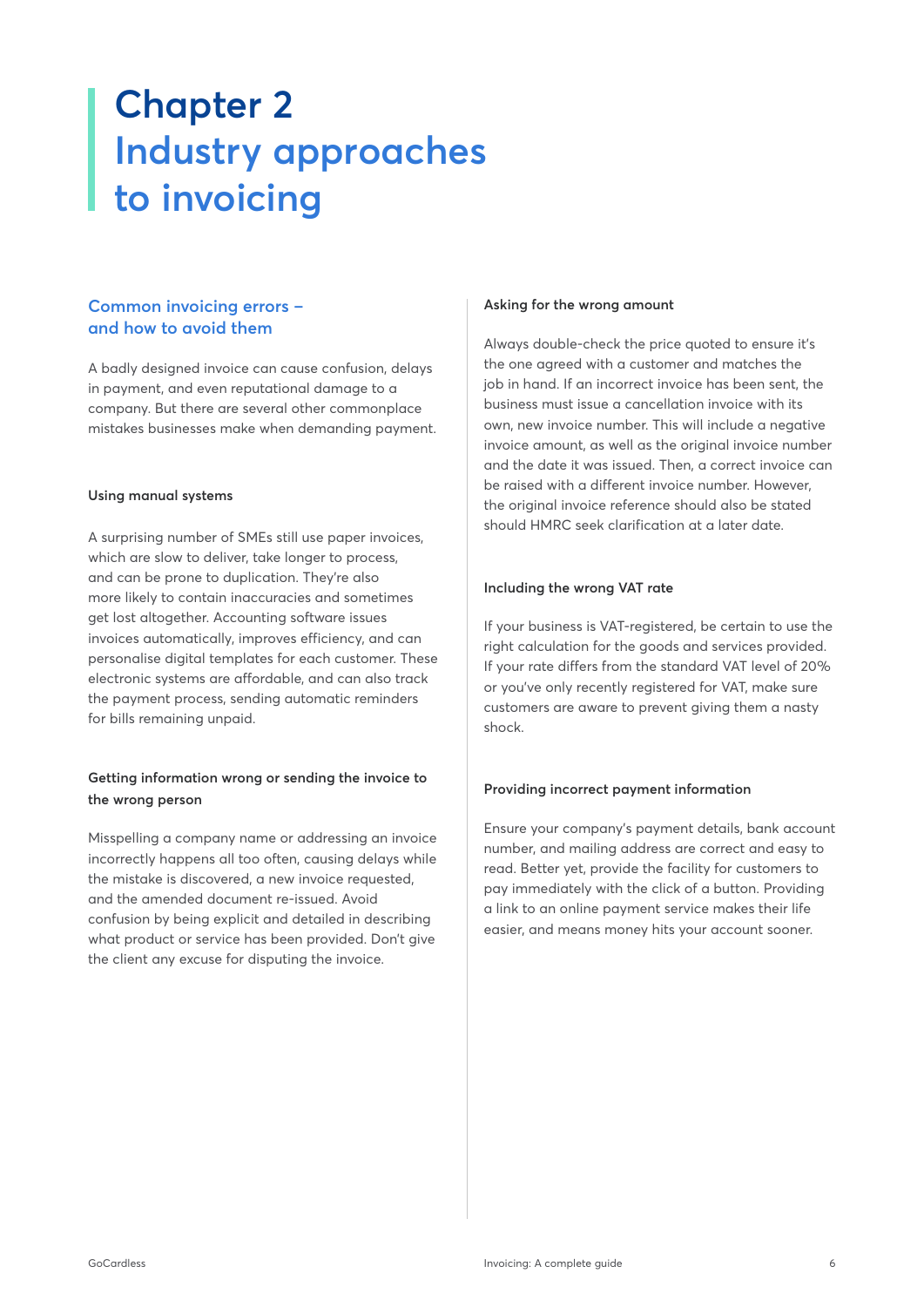# **Chapter 2 Industry approaches to invoicing**

# **Common invoicing errors – and how to avoid them**

A badly designed invoice can cause confusion, delays in payment, and even reputational damage to a company. But there are several other commonplace mistakes businesses make when demanding payment.

#### **Using manual systems**

A surprising number of SMEs still use paper invoices, which are slow to deliver, take longer to process, and can be prone to duplication. They're also more likely to contain inaccuracies and sometimes get lost altogether. Accounting software issues invoices automatically, improves efficiency, and can personalise digital templates for each customer. These electronic systems are affordable, and can also track the payment process, sending automatic reminders for bills remaining unpaid.

### **Getting information wrong or sending the invoice to the wrong person**

Misspelling a company name or addressing an invoice incorrectly happens all too often, causing delays while the mistake is discovered, a new invoice requested, and the amended document re-issued. Avoid confusion by being explicit and detailed in describing what product or service has been provided. Don't give the client any excuse for disputing the invoice.

#### **Asking for the wrong amount**

Always double-check the price quoted to ensure it's the one agreed with a customer and matches the job in hand. If an incorrect invoice has been sent, the business must issue a cancellation invoice with its own, new invoice number. This will include a negative invoice amount, as well as the original invoice number and the date it was issued. Then, a correct invoice can be raised with a different invoice number. However, the original invoice reference should also be stated should HMRC seek clarification at a later date.

#### **Including the wrong VAT rate**

If your business is VAT-registered, be certain to use the right calculation for the goods and services provided. If your rate differs from the standard VAT level of 20% or you've only recently registered for VAT, make sure customers are aware to prevent giving them a nasty shock.

### **Providing incorrect payment information**

Ensure your company's payment details, bank account number, and mailing address are correct and easy to read. Better yet, provide the facility for customers to pay immediately with the click of a button. Providing a link to an online payment service makes their life easier, and means money hits your account sooner.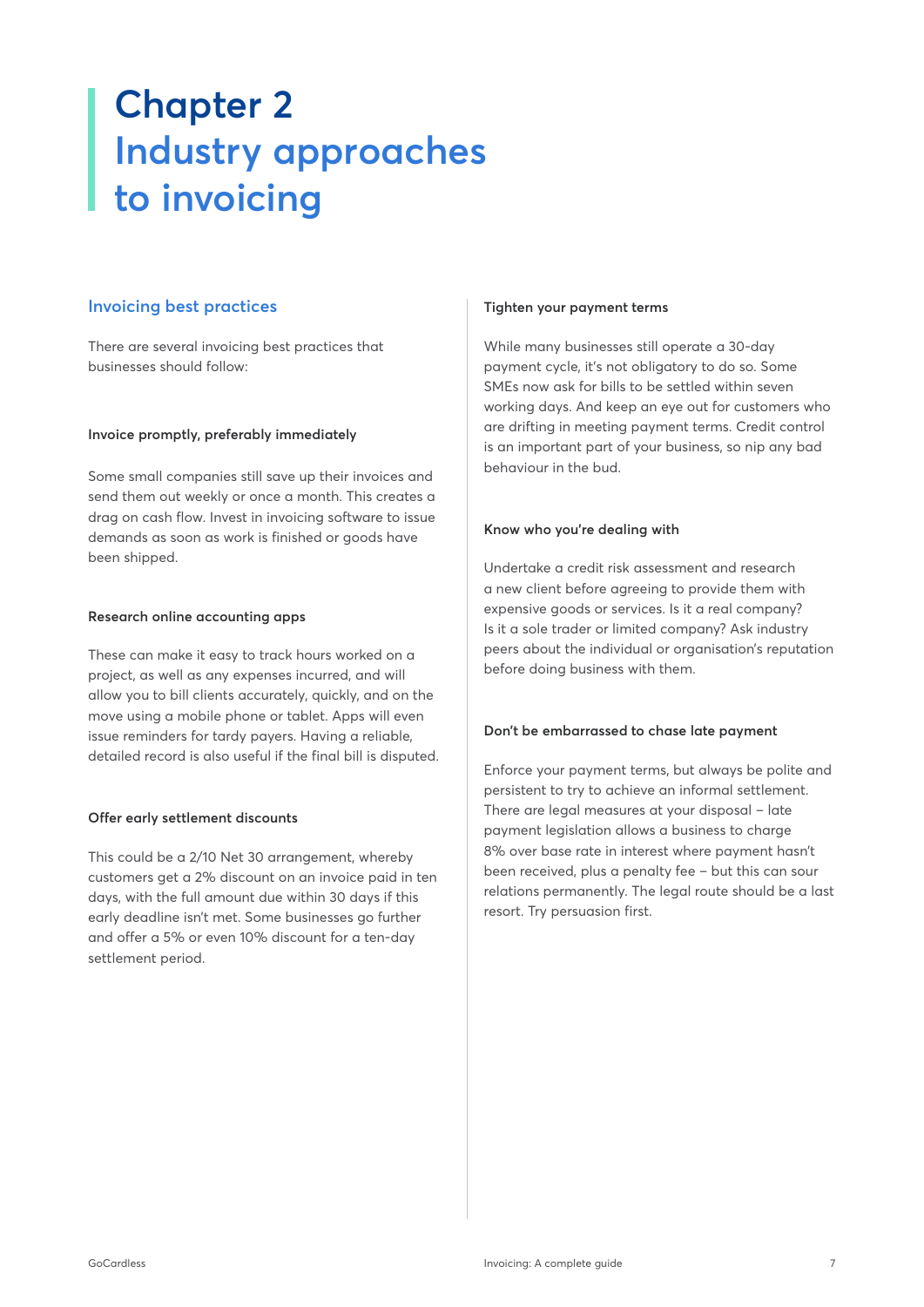# **Chapter 2 Industry approaches to invoicing**

### **Invoicing best practices**

There are several invoicing best practices that businesses should follow:

#### **Invoice promptly, preferably immediately**

Some small companies still save up their invoices and send them out weekly or once a month. This creates a drag on cash flow. Invest in invoicing software to issue demands as soon as work is finished or goods have been shipped.

#### **Research online accounting apps**

These can make it easy to track hours worked on a project, as well as any expenses incurred, and will allow you to bill clients accurately, quickly, and on the move using a mobile phone or tablet. Apps will even issue reminders for tardy payers. Having a reliable, detailed record is also useful if the final bill is disputed.

### **Offer early settlement discounts**

This could be a 2/10 Net 30 arrangement, whereby customers get a 2% discount on an invoice paid in ten days, with the full amount due within 30 days if this early deadline isn't met. Some businesses go further and offer a 5% or even 10% discount for a ten-day settlement period.

#### **Tighten your payment terms**

While many businesses still operate a 30-day payment cycle, it's not obligatory to do so. Some SMEs now ask for bills to be settled within seven working days. And keep an eye out for customers who are drifting in meeting payment terms. Credit control is an important part of your business, so nip any bad behaviour in the bud.

#### **Know who you're dealing with**

Undertake a credit risk assessment and research a new client before agreeing to provide them with expensive goods or services. Is it a real company? Is it a sole trader or limited company? Ask industry peers about the individual or organisation's reputation before doing business with them.

#### **Don't be embarrassed to chase late payment**

Enforce your payment terms, but always be polite and persistent to try to achieve an informal settlement. There are legal measures at your disposal – late payment legislation allows a business to charge 8% over base rate in interest where payment hasn't been received, plus a penalty fee – but this can sour relations permanently. The legal route should be a last resort. Try persuasion first.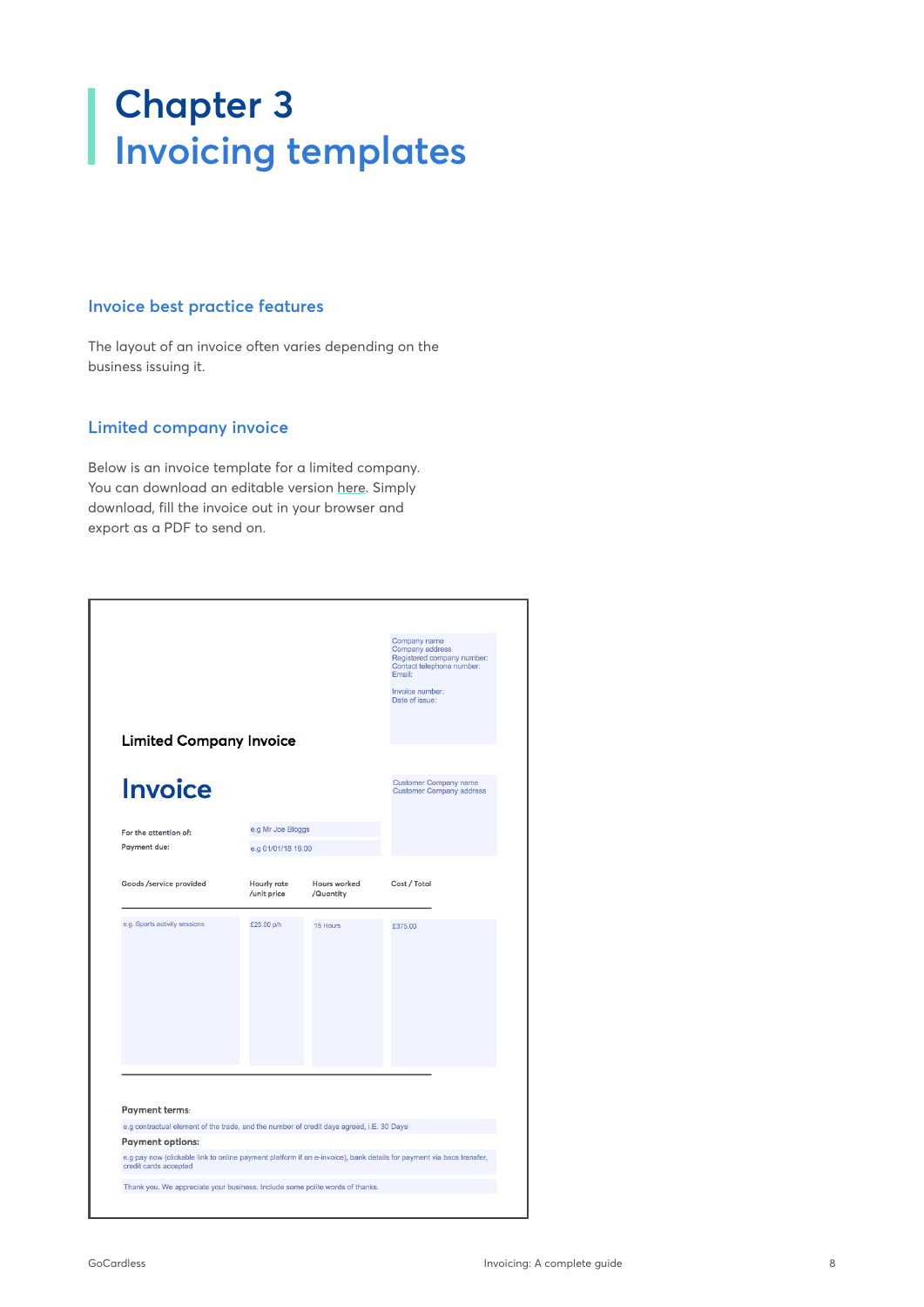# <span id="page-7-0"></span>**Chapter 3 Invoicing templates**

# **Invoice best practice features**

The layout of an invoice often varies depending on the business issuing it.

### **Limited company invoice**

Below is an invoice template for a limited company. You can download an editable version [here.](https://gocardless.com/guides/downloads/invoice-template-limited-co.pdf) Simply download, fill the invoice out in your browser and export as a PDF to send on.

|                                                                                                                   |                                   |                                  | Company name<br>Company address<br>Registered company number:<br>Contact telephone number:<br>Email: |
|-------------------------------------------------------------------------------------------------------------------|-----------------------------------|----------------------------------|------------------------------------------------------------------------------------------------------|
|                                                                                                                   |                                   |                                  | Invoice number:<br>Date of issue:                                                                    |
| <b>Limited Company Invoice</b>                                                                                    |                                   |                                  |                                                                                                      |
| <b>Invoice</b>                                                                                                    |                                   |                                  | <b>Customer Company name</b><br><b>Customer Company address</b>                                      |
| For the attention of:                                                                                             | e.g Mr Joe Bloggs                 |                                  |                                                                                                      |
| <b>Payment due:</b>                                                                                               | e.g 01/01/18 16:00                |                                  |                                                                                                      |
| Goods /service provided                                                                                           | <b>Hourly rate</b><br>/unit price | <b>Hours worked</b><br>/Quantity | Cost / Total                                                                                         |
| e.g. Sports activity sessions                                                                                     | £25.00 p/h                        | 15 Hours                         | £375.00                                                                                              |
|                                                                                                                   |                                   |                                  |                                                                                                      |
|                                                                                                                   |                                   |                                  |                                                                                                      |
|                                                                                                                   |                                   |                                  |                                                                                                      |
|                                                                                                                   |                                   |                                  |                                                                                                      |
|                                                                                                                   |                                   |                                  |                                                                                                      |
|                                                                                                                   |                                   |                                  |                                                                                                      |
| <b>Payment terms:</b><br>e.g contractual element of the trade, and the number of credit days agreed, i.E. 30 Days |                                   |                                  |                                                                                                      |
| <b>Payment options:</b>                                                                                           |                                   |                                  |                                                                                                      |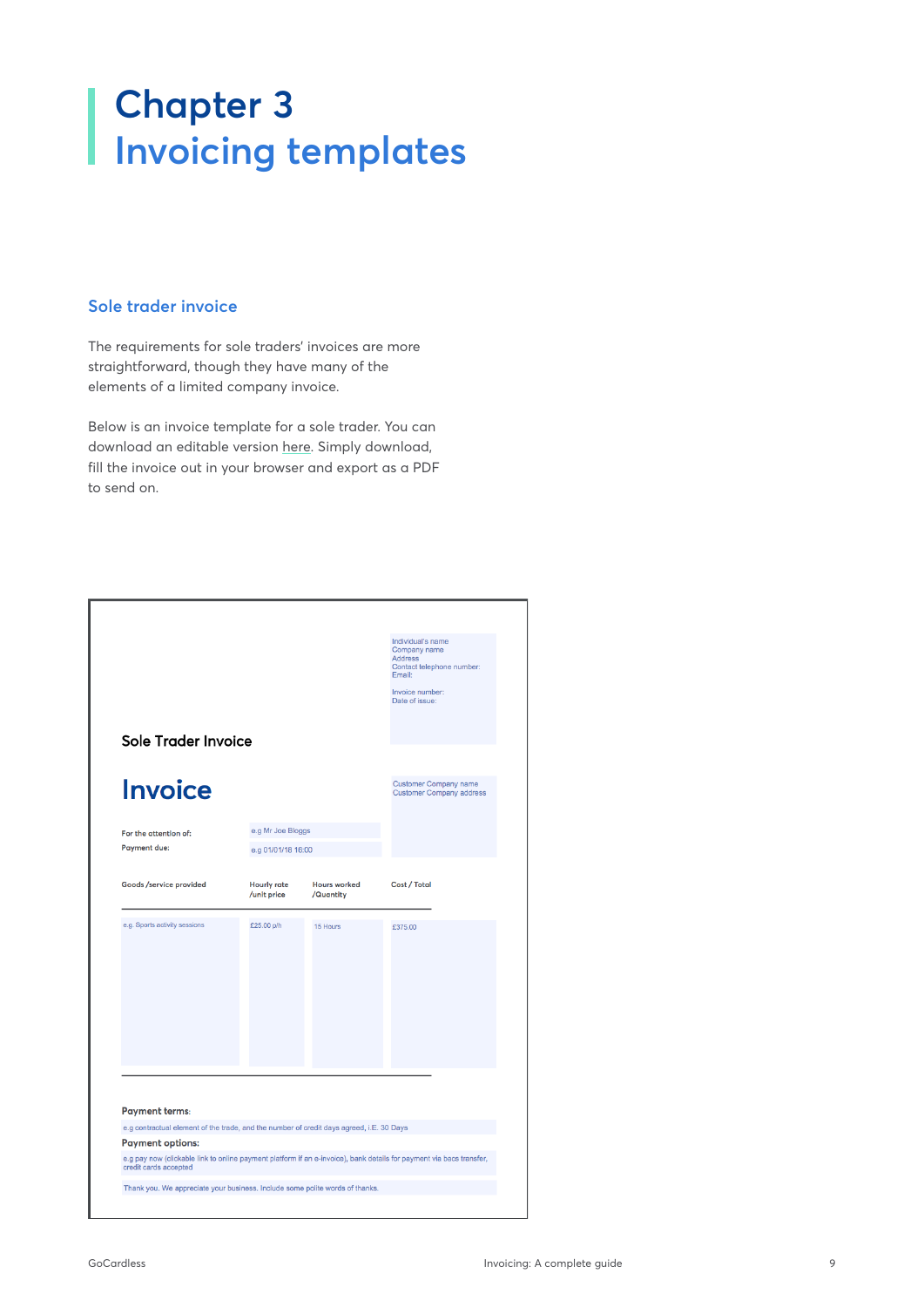# **Chapter 3 Invoicing templates**

### **Sole trader invoice**

The requirements for sole traders' invoices are more straightforward, though they have many of the elements of a limited company invoice.

Below is an invoice template for a sole trader. You can download an editable version [here](https://gocardless.com/guides/downloads/invoice-template-sole-trader.pdf). Simply download, fill the invoice out in your browser and export as a PDF to send on.

|                                                                                                                   |                                   |                                  | Individual's name<br>Company name<br><b>Address</b><br>Contact telephone number:<br>Email:<br>Invoice number:<br>Date of issue: |
|-------------------------------------------------------------------------------------------------------------------|-----------------------------------|----------------------------------|---------------------------------------------------------------------------------------------------------------------------------|
| Sole Trader Invoice                                                                                               |                                   |                                  |                                                                                                                                 |
| <b>Invoice</b>                                                                                                    |                                   |                                  | <b>Customer Company name</b><br><b>Customer Company address</b>                                                                 |
| For the attention of:                                                                                             | e.g Mr Joe Bloggs                 |                                  |                                                                                                                                 |
| <b>Payment due:</b>                                                                                               | e.g 01/01/18 16:00                |                                  |                                                                                                                                 |
| Goods /service provided                                                                                           | <b>Hourly rate</b><br>/unit price | <b>Hours worked</b><br>/Quantity | Cost / Total                                                                                                                    |
| e.g. Sports activity sessions                                                                                     | £25.00 p/h                        | 15 Hours                         | £375.00                                                                                                                         |
| <b>Payment terms:</b><br>e.g contractual element of the trade, and the number of credit days agreed, i.E. 30 Days |                                   |                                  |                                                                                                                                 |
| <b>Payment options:</b>                                                                                           |                                   |                                  |                                                                                                                                 |
| credit cards accepted                                                                                             |                                   |                                  | e.g pay now (clickable link to online payment platform if an e-invoice), bank details for payment via bacs transfer,            |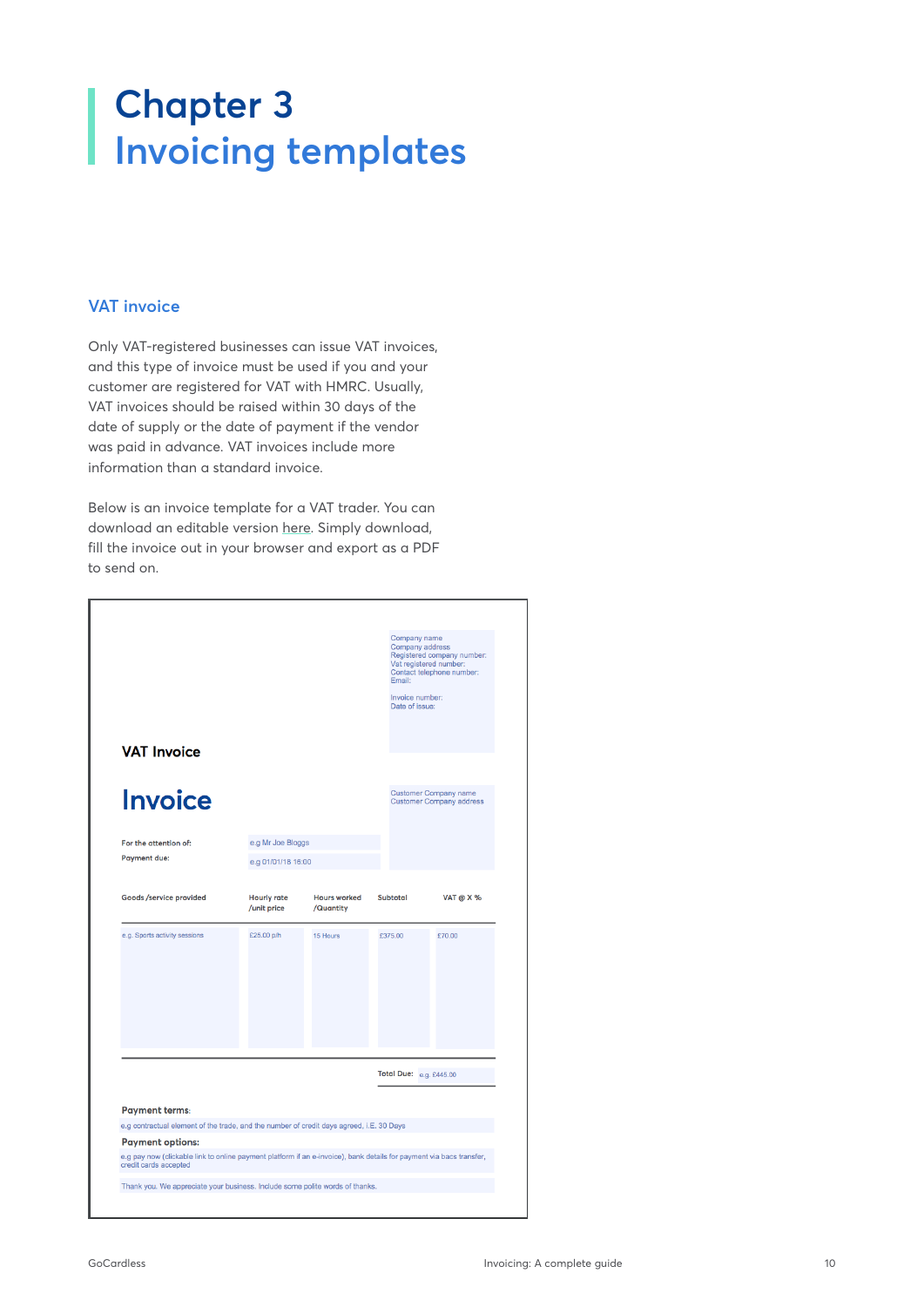# **Chapter 3 Invoicing templates**

### **VAT invoice**

Only VAT-registered businesses can issue VAT invoices, and this type of invoice must be used if you and your customer are registered for VAT with HMRC. Usually, VAT invoices should be raised within 30 days of the date of supply or the date of payment if the vendor was paid in advance. VAT invoices include more information than a standard invoice.

Below is an invoice template for a VAT trader. You can download an editable version [here](https://gocardless.com/guides/downloads/invoice-template-vat.pdf). Simply download, fill the invoice out in your browser and export as a PDF to send on.

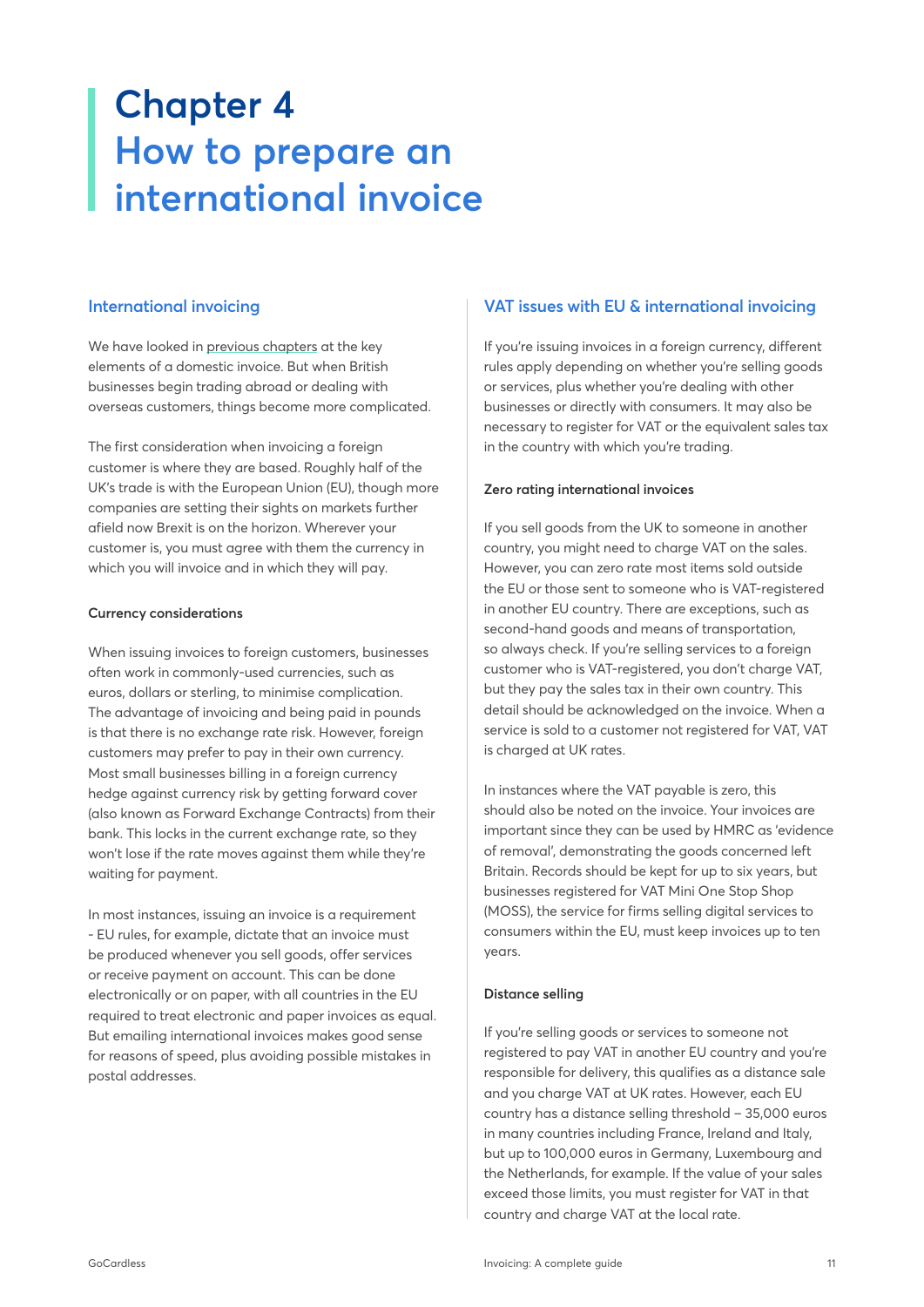# <span id="page-10-0"></span>**Chapter 4 How to prepare an international invoice**

### **International invoicing**

We have looked in [previous chapters](https://gocardless.com/guides/invoicing/what-is-an-invoice/) at the key elements of a domestic invoice. But when British businesses begin trading abroad or dealing with overseas customers, things become more complicated.

The first consideration when invoicing a foreign customer is where they are based. Roughly half of the UK's trade is with the European Union (EU), though more companies are setting their sights on markets further afield now Brexit is on the horizon. Wherever your customer is, you must agree with them the currency in which you will invoice and in which they will pay.

#### **Currency considerations**

When issuing invoices to foreign customers, businesses often work in commonly-used currencies, such as euros, dollars or sterling, to minimise complication. The advantage of invoicing and being paid in pounds is that there is no exchange rate risk. However, foreign customers may prefer to pay in their own currency. Most small businesses billing in a foreign currency hedge against currency risk by getting forward cover (also known as Forward Exchange Contracts) from their bank. This locks in the current exchange rate, so they won't lose if the rate moves against them while they're waiting for payment.

In most instances, issuing an invoice is a requirement - EU rules, for example, dictate that an invoice must be produced whenever you sell goods, offer services or receive payment on account. This can be done electronically or on paper, with all countries in the EU required to treat electronic and paper invoices as equal. But emailing international invoices makes good sense for reasons of speed, plus avoiding possible mistakes in postal addresses.

# **VAT issues with EU & international invoicing**

If you're issuing invoices in a foreign currency, different rules apply depending on whether you're selling goods or services, plus whether you're dealing with other businesses or directly with consumers. It may also be necessary to register for VAT or the equivalent sales tax in the country with which you're trading.

### **Zero rating international invoices**

If you sell goods from the UK to someone in another country, you might need to charge VAT on the sales. However, you can zero rate most items sold outside the EU or those sent to someone who is VAT-registered in another EU country. There are exceptions, such as second-hand goods and means of transportation, so always check. If you're selling services to a foreign customer who is VAT-registered, you don't charge VAT, but they pay the sales tax in their own country. This detail should be acknowledged on the invoice. When a service is sold to a customer not registered for VAT, VAT is charged at UK rates.

In instances where the VAT payable is zero, this should also be noted on the invoice. Your invoices are important since they can be used by HMRC as 'evidence of removal', demonstrating the goods concerned left Britain. Records should be kept for up to six years, but businesses registered for VAT Mini One Stop Shop (MOSS), the service for firms selling digital services to consumers within the EU, must keep invoices up to ten years.

### **Distance selling**

If you're selling goods or services to someone not registered to pay VAT in another EU country and you're responsible for delivery, this qualifies as a distance sale and you charge VAT at UK rates. However, each EU country has a distance selling threshold – 35,000 euros in many countries including France, Ireland and Italy, but up to 100,000 euros in Germany, Luxembourg and the Netherlands, for example. If the value of your sales exceed those limits, you must register for VAT in that country and charge VAT at the local rate.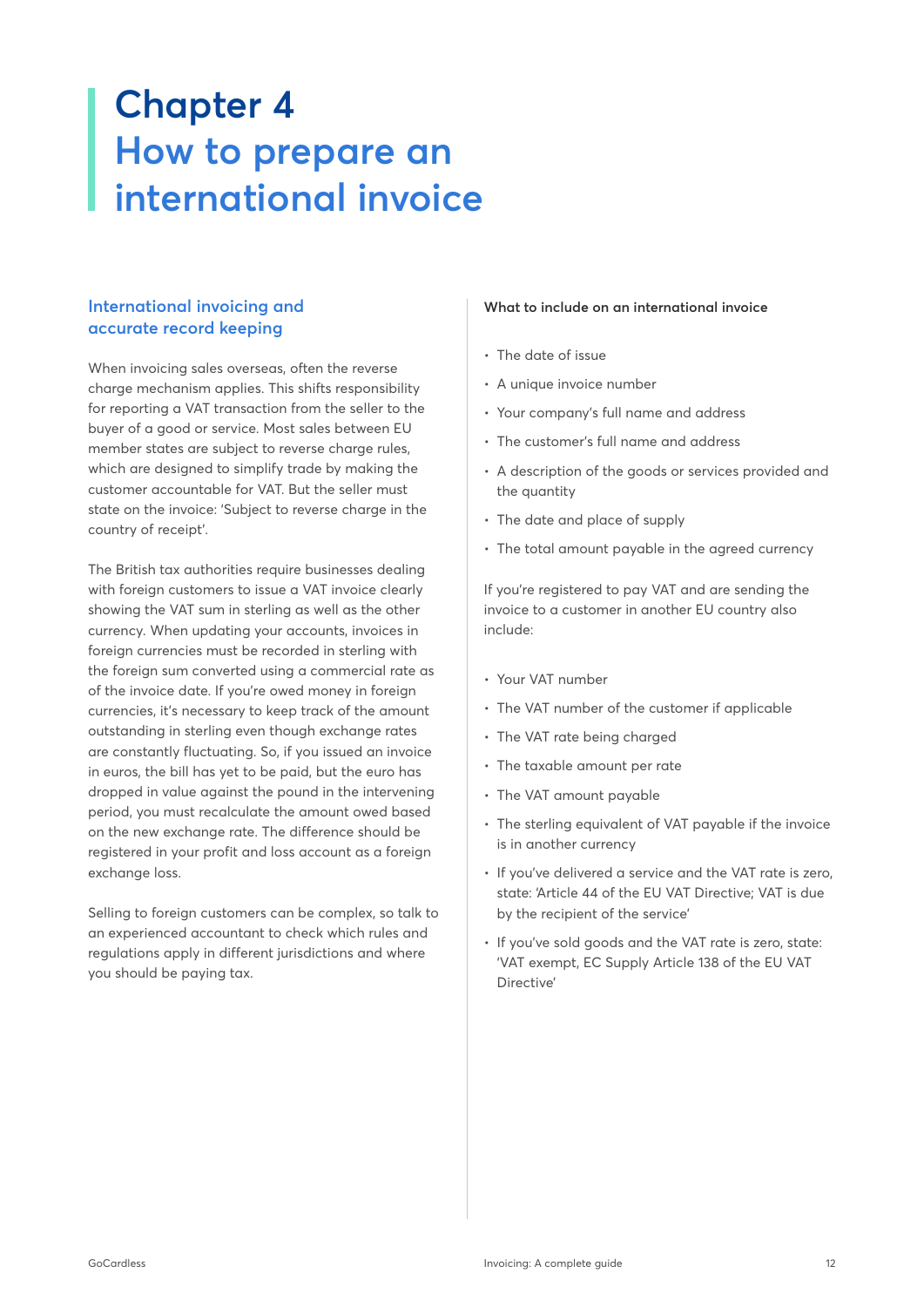# **Chapter 4 How to prepare an international invoice**

# **International invoicing and accurate record keeping**

When invoicing sales overseas, often the reverse charge mechanism applies. This shifts responsibility for reporting a VAT transaction from the seller to the buyer of a good or service. Most sales between EU member states are subject to reverse charge rules, which are designed to simplify trade by making the customer accountable for VAT. But the seller must state on the invoice: 'Subject to reverse charge in the country of receipt'.

The British tax authorities require businesses dealing with foreign customers to issue a VAT invoice clearly showing the VAT sum in sterling as well as the other currency. When updating your accounts, invoices in foreign currencies must be recorded in sterling with the foreign sum converted using a commercial rate as of the invoice date. If you're owed money in foreign currencies, it's necessary to keep track of the amount outstanding in sterling even though exchange rates are constantly fluctuating. So, if you issued an invoice in euros, the bill has yet to be paid, but the euro has dropped in value against the pound in the intervening period, you must recalculate the amount owed based on the new exchange rate. The difference should be registered in your profit and loss account as a foreign exchange loss.

Selling to foreign customers can be complex, so talk to an experienced accountant to check which rules and regulations apply in different jurisdictions and where you should be paying tax.

#### **What to include on an international invoice**

- The date of issue
- A unique invoice number
- Your company's full name and address
- The customer's full name and address
- A description of the goods or services provided and the quantity
- The date and place of supply
- The total amount payable in the agreed currency

If you're registered to pay VAT and are sending the invoice to a customer in another EU country also include:

- Your VAT number
- The VAT number of the customer if applicable
- The VAT rate being charged
- The taxable amount per rate
- The VAT amount payable
- The sterling equivalent of VAT payable if the invoice is in another currency
- If you've delivered a service and the VAT rate is zero, state: 'Article 44 of the EU VAT Directive; VAT is due by the recipient of the service'
- If you've sold goods and the VAT rate is zero, state: 'VAT exempt, EC Supply Article 138 of the EU VAT Directive'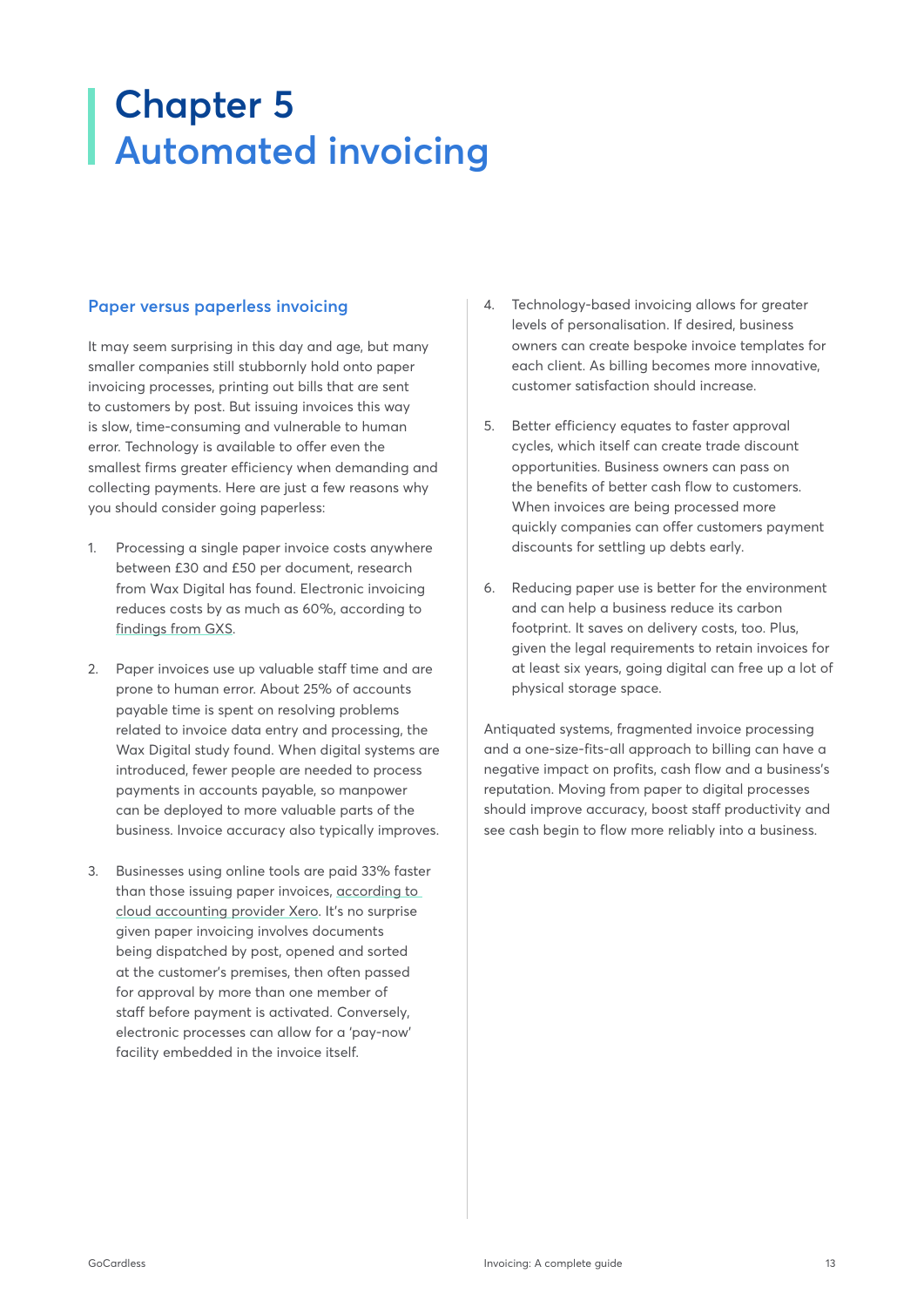# <span id="page-12-0"></span>**Chapter 5 Automated invoicing**

### **Paper versus paperless invoicing**

It may seem surprising in this day and age, but many smaller companies still stubbornly hold onto paper invoicing processes, printing out bills that are sent to customers by post. But issuing invoices this way is slow, time-consuming and vulnerable to human error. Technology is available to offer even the smallest firms greater efficiency when demanding and collecting payments. Here are just a few reasons why you should consider going paperless:

- 1. Processing a single paper invoice costs anywhere between £30 and £50 per document, research from Wax Digital has found. Electronic invoicing reduces costs by as much as 60%, according to [findings from GXS.](http://www.gxs.co.kr/files/wp_electronic_invoicing.pdf)
- 2. Paper invoices use up valuable staff time and are prone to human error. About 25% of accounts payable time is spent on resolving problems related to invoice data entry and processing, the Wax Digital study found. When digital systems are introduced, fewer people are needed to process payments in accounts payable, so manpower can be deployed to more valuable parts of the business. Invoice accuracy also typically improves.
- 3. Businesses using online tools are paid 33% faster than those issuing paper invoices, [according to](https://www.xero.com/uk/resources/small-business-insights/getting-paid/?xtid=x30GOCARDLESS&utm_source=GOCARDLESS&utm_medium=ecoweb&utm_campaign=GOCARDLESS)  [cloud accounting provider Xero](https://www.xero.com/uk/resources/small-business-insights/getting-paid/?xtid=x30GOCARDLESS&utm_source=GOCARDLESS&utm_medium=ecoweb&utm_campaign=GOCARDLESS). It's no surprise given paper invoicing involves documents being dispatched by post, opened and sorted at the customer's premises, then often passed for approval by more than one member of staff before payment is activated. Conversely, electronic processes can allow for a 'pay-now' facility embedded in the invoice itself.
- 4. Technology-based invoicing allows for greater levels of personalisation. If desired, business owners can create bespoke invoice templates for each client. As billing becomes more innovative, customer satisfaction should increase.
- 5. Better efficiency equates to faster approval cycles, which itself can create trade discount opportunities. Business owners can pass on the benefits of better cash flow to customers. When invoices are being processed more quickly companies can offer customers payment discounts for settling up debts early.
- 6. Reducing paper use is better for the environment and can help a business reduce its carbon footprint. It saves on delivery costs, too. Plus, given the legal requirements to retain invoices for at least six years, going digital can free up a lot of physical storage space.

Antiquated systems, fragmented invoice processing and a one-size-fits-all approach to billing can have a negative impact on profits, cash flow and a business's reputation. Moving from paper to digital processes should improve accuracy, boost staff productivity and see cash begin to flow more reliably into a business.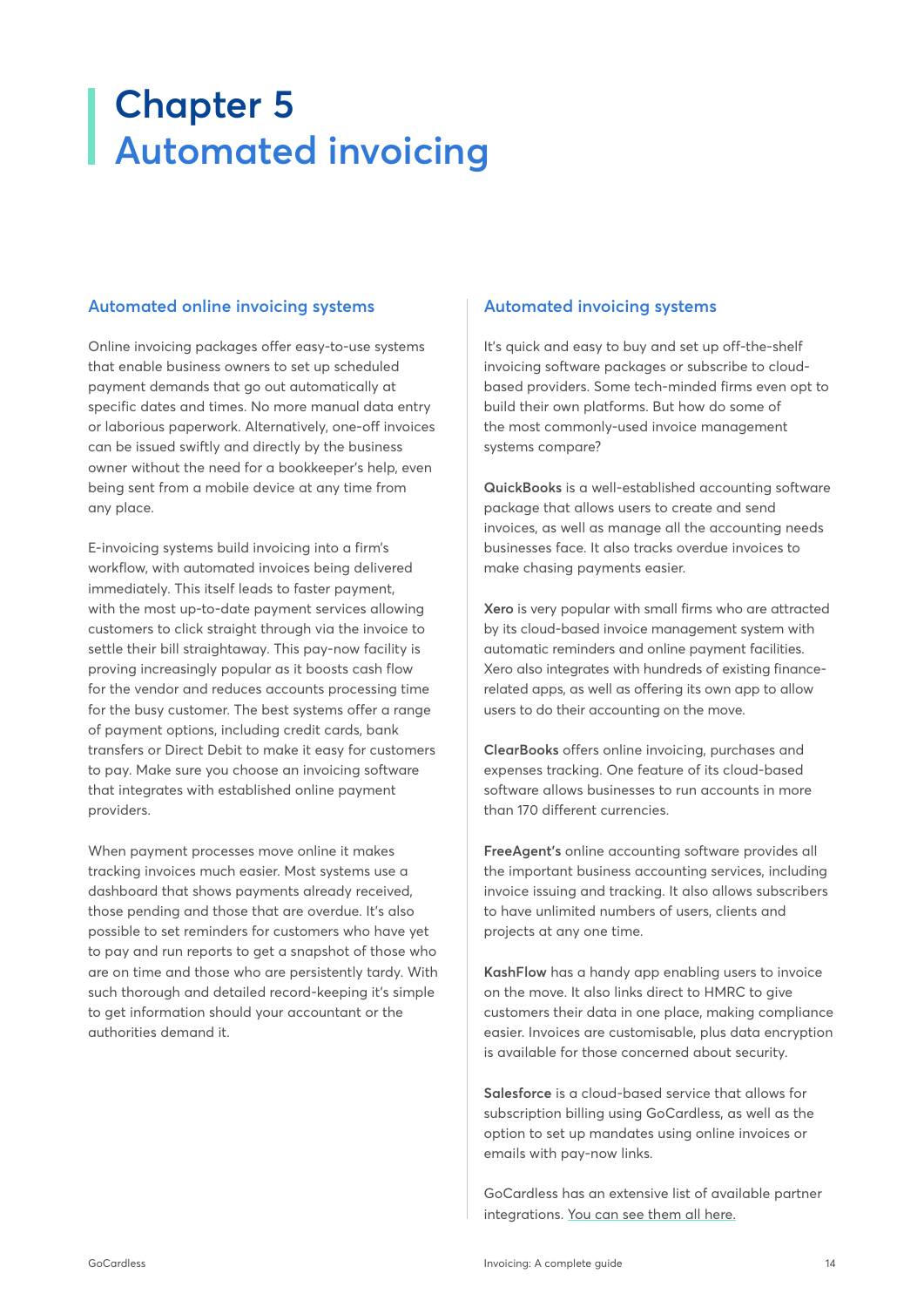# **Chapter 5 Automated invoicing**

# **Automated online invoicing systems**

Online invoicing packages offer easy-to-use systems that enable business owners to set up scheduled payment demands that go out automatically at specific dates and times. No more manual data entry or laborious paperwork. Alternatively, one-off invoices can be issued swiftly and directly by the business owner without the need for a bookkeeper's help, even being sent from a mobile device at any time from any place.

E-invoicing systems build invoicing into a firm's workflow, with automated invoices being delivered immediately. This itself leads to faster payment, with the most up-to-date payment services allowing customers to click straight through via the invoice to settle their bill straightaway. This pay-now facility is proving increasingly popular as it boosts cash flow for the vendor and reduces accounts processing time for the busy customer. The best systems offer a range of payment options, including credit cards, bank transfers or Direct Debit to make it easy for customers to pay. Make sure you choose an invoicing software that integrates with established online payment providers.

When payment processes move online it makes tracking invoices much easier. Most systems use a dashboard that shows payments already received, those pending and those that are overdue. It's also possible to set reminders for customers who have yet to pay and run reports to get a snapshot of those who are on time and those who are persistently tardy. With such thorough and detailed record-keeping it's simple to get information should your accountant or the authorities demand it.

### **Automated invoicing systems**

It's quick and easy to buy and set up off-the-shelf invoicing software packages or subscribe to cloudbased providers. Some tech-minded firms even opt to build their own platforms. But how do some of the most commonly-used invoice management systems compare?

**QuickBooks** is a well-established accounting software package that allows users to create and send invoices, as well as manage all the accounting needs businesses face. It also tracks overdue invoices to make chasing payments easier.

**Xero** is very popular with small firms who are attracted by its cloud-based invoice management system with automatic reminders and online payment facilities. Xero also integrates with hundreds of existing financerelated apps, as well as offering its own app to allow users to do their accounting on the move.

**ClearBooks** offers online invoicing, purchases and expenses tracking. One feature of its cloud-based software allows businesses to run accounts in more than 170 different currencies.

**FreeAgent's** online accounting software provides all the important business accounting services, including invoice issuing and tracking. It also allows subscribers to have unlimited numbers of users, clients and projects at any one time.

**KashFlow** has a handy app enabling users to invoice on the move. It also links direct to HMRC to give customers their data in one place, making compliance easier. Invoices are customisable, plus data encryption is available for those concerned about security.

**Salesforce** is a cloud-based service that allows for subscription billing using GoCardless, as well as the option to set up mandates using online invoices or emails with pay-now links.

GoCardless has an extensive list of available partner integrations. [You can see them all here.](https://gocardless.com/partners/)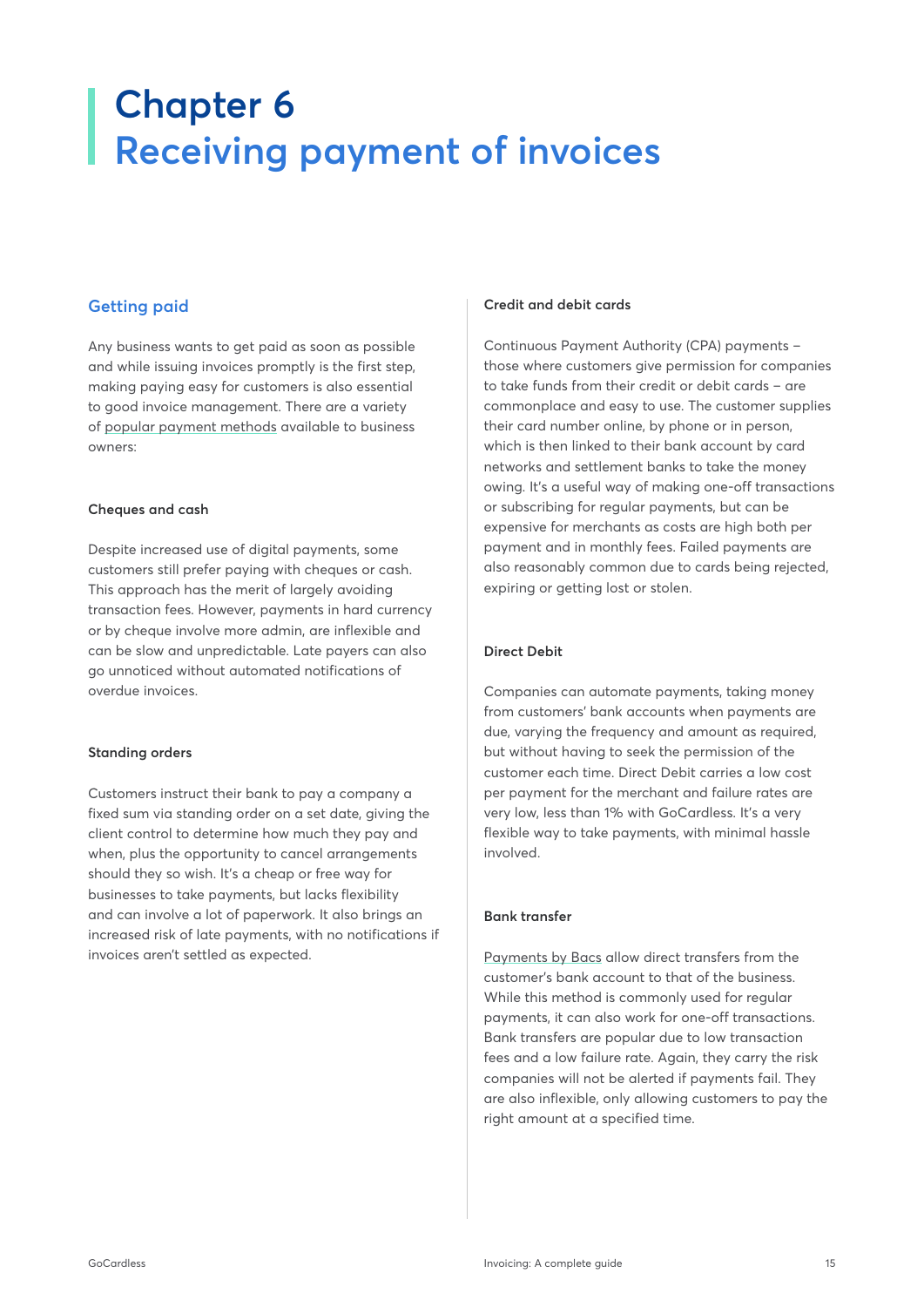# <span id="page-14-0"></span>**Chapter 6 Receiving payment of invoices**

# **Getting paid**

Any business wants to get paid as soon as possible and while issuing invoices promptly is the first step, making paying easy for customers is also essential to good invoice management. There are a variety of [popular payment methods](https://gocardless.com/guides/posts/the-gocardless-guide-to-payment-methods/) available to business owners:

#### **Cheques and cash**

Despite increased use of digital payments, some customers still prefer paying with cheques or cash. This approach has the merit of largely avoiding transaction fees. However, payments in hard currency or by cheque involve more admin, are inflexible and can be slow and unpredictable. Late payers can also go unnoticed without automated notifications of overdue invoices.

#### **Standing orders**

Customers instruct their bank to pay a company a fixed sum via standing order on a set date, giving the client control to determine how much they pay and when, plus the opportunity to cancel arrangements should they so wish. It's a cheap or free way for businesses to take payments, but lacks flexibility and can involve a lot of paperwork. It also brings an increased risk of late payments, with no notifications if invoices aren't settled as expected.

#### **Credit and debit cards**

Continuous Payment Authority (CPA) payments – those where customers give permission for companies to take funds from their credit or debit cards – are commonplace and easy to use. The customer supplies their card number online, by phone or in person, which is then linked to their bank account by card networks and settlement banks to take the money owing. It's a useful way of making one-off transactions or subscribing for regular payments, but can be expensive for merchants as costs are high both per payment and in monthly fees. Failed payments are also reasonably common due to cards being rejected, expiring or getting lost or stolen.

#### **Direct Debit**

Companies can automate payments, taking money from customers' bank accounts when payments are due, varying the frequency and amount as required, but without having to seek the permission of the customer each time. Direct Debit carries a low cost per payment for the merchant and failure rates are very low, less than 1% with GoCardless. It's a very flexible way to take payments, with minimal hassle involved.

#### **Bank transfer**

[Payments by Bacs](https://gocardless.com/guides/intro-to-direct-debit/guide-for-payers/) allow direct transfers from the customer's bank account to that of the business. While this method is commonly used for regular payments, it can also work for one-off transactions. Bank transfers are popular due to low transaction fees and a low failure rate. Again, they carry the risk companies will not be alerted if payments fail. They are also inflexible, only allowing customers to pay the right amount at a specified time.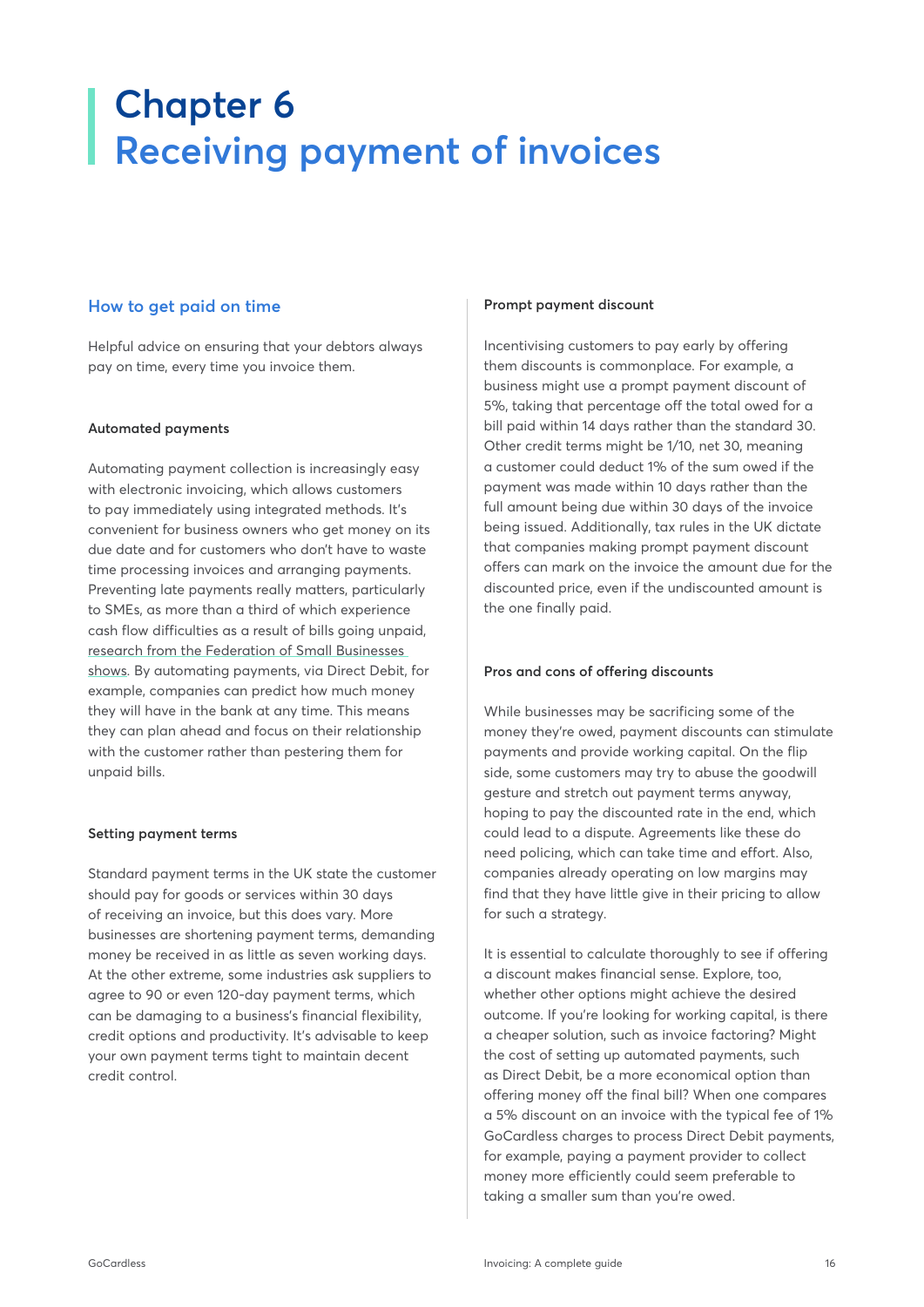# **Chapter 6 Receiving payment of invoices**

### **How to get paid on time**

Helpful advice on ensuring that your debtors always pay on time, every time you invoice them.

#### **Automated payments**

Automating payment collection is increasingly easy with electronic invoicing, which allows customers to pay immediately using integrated methods. It's convenient for business owners who get money on its due date and for customers who don't have to waste time processing invoices and arranging payments. Preventing late payments really matters, particularly to SMEs, as more than a third of which experience cash flow difficulties as a result of bills going unpaid, [research from the Federation of Small Businesses]( https://www.fsb.org.uk/standing-up-for-you/policy-issues/finance-and-the-economy/late-payment)  [shows.]( https://www.fsb.org.uk/standing-up-for-you/policy-issues/finance-and-the-economy/late-payment) By automating payments, via Direct Debit, for example, companies can predict how much money they will have in the bank at any time. This means they can plan ahead and focus on their relationship with the customer rather than pestering them for unpaid bills.

#### **Setting payment terms**

Standard payment terms in the UK state the customer should pay for goods or services within 30 days of receiving an invoice, but this does vary. More businesses are shortening payment terms, demanding money be received in as little as seven working days. At the other extreme, some industries ask suppliers to agree to 90 or even 120-day payment terms, which can be damaging to a business's financial flexibility, credit options and productivity. It's advisable to keep your own payment terms tight to maintain decent credit control.

#### **Prompt payment discount**

Incentivising customers to pay early by offering them discounts is commonplace. For example, a business might use a prompt payment discount of 5%, taking that percentage off the total owed for a bill paid within 14 days rather than the standard 30. Other credit terms might be 1/10, net 30, meaning a customer could deduct 1% of the sum owed if the payment was made within 10 days rather than the full amount being due within 30 days of the invoice being issued. Additionally, tax rules in the UK dictate that companies making prompt payment discount offers can mark on the invoice the amount due for the discounted price, even if the undiscounted amount is the one finally paid.

#### **Pros and cons of offering discounts**

While businesses may be sacrificing some of the money they're owed, payment discounts can stimulate payments and provide working capital. On the flip side, some customers may try to abuse the goodwill gesture and stretch out payment terms anyway, hoping to pay the discounted rate in the end, which could lead to a dispute. Agreements like these do need policing, which can take time and effort. Also, companies already operating on low margins may find that they have little give in their pricing to allow for such a strategy.

It is essential to calculate thoroughly to see if offering a discount makes financial sense. Explore, too, whether other options might achieve the desired outcome. If you're looking for working capital, is there a cheaper solution, such as invoice factoring? Might the cost of setting up automated payments, such as Direct Debit, be a more economical option than offering money off the final bill? When one compares a 5% discount on an invoice with the typical fee of 1% GoCardless charges to process Direct Debit payments, for example, paying a payment provider to collect money more efficiently could seem preferable to taking a smaller sum than you're owed.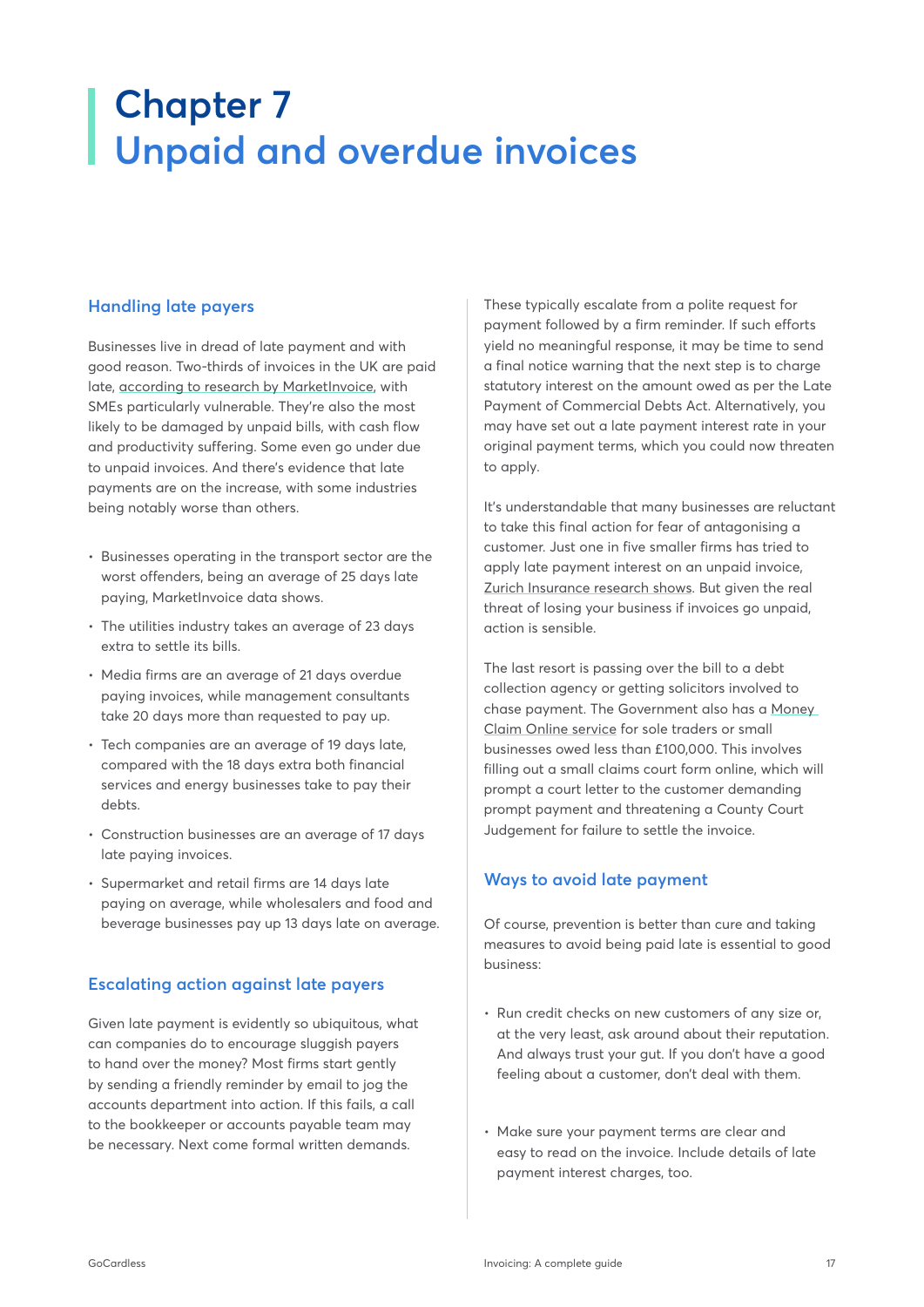# <span id="page-16-0"></span>**Chapter 7 Unpaid and overdue invoices**

# **Handling late payers**

Businesses live in dread of late payment and with good reason. Two-thirds of invoices in the UK are paid late, [according to research by MarketInvoice,](https://ctmfile.com/assets/ugc/documents/MarketInvoice-Insights-into-Late-Payments-2017.pdf) with SMEs particularly vulnerable. They're also the most likely to be damaged by unpaid bills, with cash flow and productivity suffering. Some even go under due to unpaid invoices. And there's evidence that late payments are on the increase, with some industries being notably worse than others.

- Businesses operating in the transport sector are the worst offenders, being an average of 25 days late paying, MarketInvoice data shows.
- The utilities industry takes an average of 23 days extra to settle its bills.
- Media firms are an average of 21 days overdue paying invoices, while management consultants take 20 days more than requested to pay up.
- Tech companies are an average of 19 days late, compared with the 18 days extra both financial services and energy businesses take to pay their debts.
- Construction businesses are an average of 17 days late paying invoices.
- Supermarket and retail firms are 14 days late paying on average, while wholesalers and food and beverage businesses pay up 13 days late on average.

# **Escalating action against late payers**

Given late payment is evidently so ubiquitous, what can companies do to encourage sluggish payers to hand over the money? Most firms start gently by sending a friendly reminder by email to jog the accounts department into action. If this fails, a call to the bookkeeper or accounts payable team may be necessary. Next come formal written demands.

These typically escalate from a polite request for payment followed by a firm reminder. If such efforts yield no meaningful response, it may be time to send a final notice warning that the next step is to charge statutory interest on the amount owed as per the Late Payment of Commercial Debts Act. Alternatively, you may have set out a late payment interest rate in your original payment terms, which you could now threaten to apply.

It's understandable that many businesses are reluctant to take this final action for fear of antagonising a customer. Just one in five smaller firms has tried to apply late payment interest on an unpaid invoice, [Zurich Insurance research shows.](https://insider.zurich.co.uk/industry-spotlight/smes-owed-225bn-from-late-payments/) But given the real threat of losing your business if invoices go unpaid, action is sensible.

The last resort is passing over the bill to a debt collection agency or getting solicitors involved to chase payment. The Government also has a [Money](https://www.gov.uk/make-money-claim)  [Claim Online service](https://www.gov.uk/make-money-claim) for sole traders or small businesses owed less than £100,000. This involves filling out a small claims court form online, which will prompt a court letter to the customer demanding prompt payment and threatening a County Court Judgement for failure to settle the invoice.

# **Ways to avoid late payment**

Of course, prevention is better than cure and taking measures to avoid being paid late is essential to good business:

- Run credit checks on new customers of any size or, at the very least, ask around about their reputation. And always trust your gut. If you don't have a good feeling about a customer, don't deal with them.
- Make sure your payment terms are clear and easy to read on the invoice. Include details of late payment interest charges, too.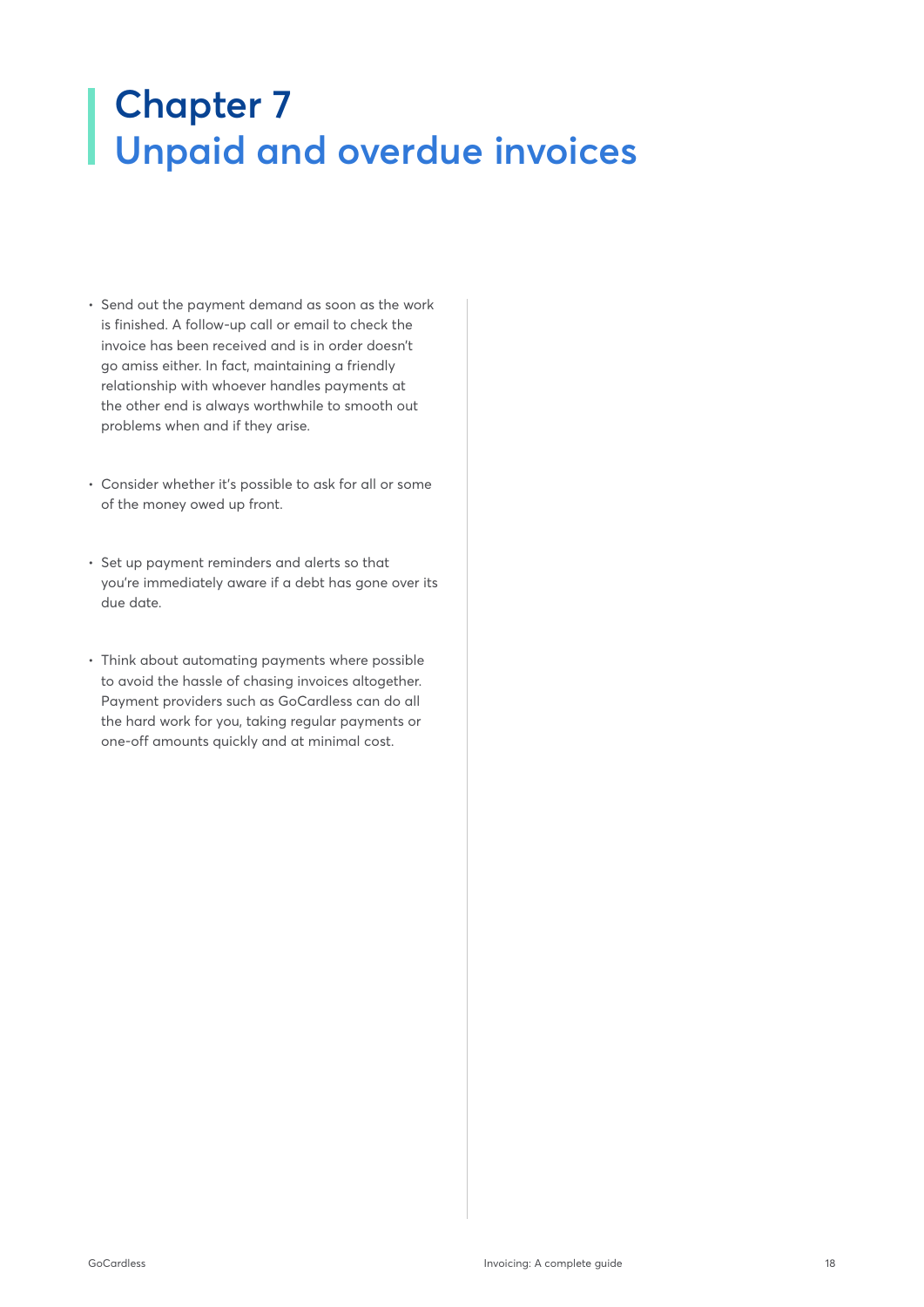# <span id="page-17-0"></span>**Chapter 7 Unpaid and overdue invoices**

- Send out the payment demand as soon as the work is finished. A follow-up call or email to check the invoice has been received and is in order doesn't go amiss either. In fact, maintaining a friendly relationship with whoever handles payments at the other end is always worthwhile to smooth out problems when and if they arise.
- Consider whether it's possible to ask for all or some of the money owed up front.
- Set up payment reminders and alerts so that you're immediately aware if a debt has gone over its due date.
- Think about automating payments where possible to avoid the hassle of chasing invoices altogether. Payment providers such as GoCardless can do all the hard work for you, taking regular payments or one-off amounts quickly and at minimal cost.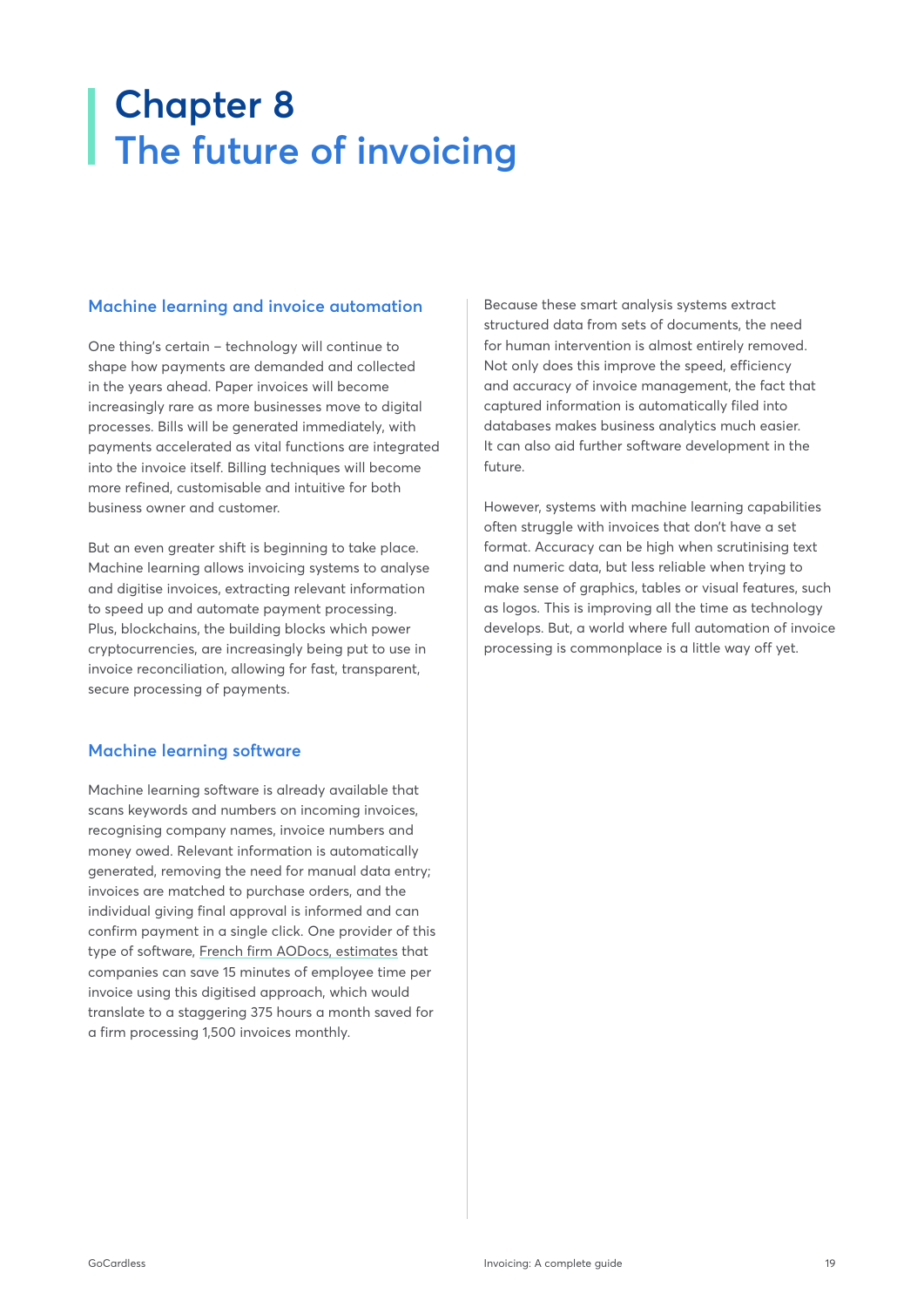# **Chapter 8 The future of invoicing**

### **Machine learning and invoice automation**

One thing's certain – technology will continue to shape how payments are demanded and collected in the years ahead. Paper invoices will become increasingly rare as more businesses move to digital processes. Bills will be generated immediately, with payments accelerated as vital functions are integrated into the invoice itself. Billing techniques will become more refined, customisable and intuitive for both business owner and customer.

But an even greater shift is beginning to take place. Machine learning allows invoicing systems to analyse and digitise invoices, extracting relevant information to speed up and automate payment processing. Plus, blockchains, the building blocks which power cryptocurrencies, are increasingly being put to use in invoice reconciliation, allowing for fast, transparent, secure processing of payments.

# **Machine learning software**

Machine learning software is already available that scans keywords and numbers on incoming invoices, recognising company names, invoice numbers and money owed. Relevant information is automatically generated, removing the need for manual data entry; invoices are matched to purchase orders, and the individual giving final approval is informed and can confirm payment in a single click. One provider of this type of software, [French firm AODocs, estimates](https://blog.aodocs.com/invoice-automation-and-machine-learning) that companies can save 15 minutes of employee time per invoice using this digitised approach, which would translate to a staggering 375 hours a month saved for a firm processing 1,500 invoices monthly.

Because these smart analysis systems extract structured data from sets of documents, the need for human intervention is almost entirely removed. Not only does this improve the speed, efficiency and accuracy of invoice management, the fact that captured information is automatically filed into databases makes business analytics much easier. It can also aid further software development in the future.

However, systems with machine learning capabilities often struggle with invoices that don't have a set format. Accuracy can be high when scrutinising text and numeric data, but less reliable when trying to make sense of graphics, tables or visual features, such as logos. This is improving all the time as technology develops. But, a world where full automation of invoice processing is commonplace is a little way off yet.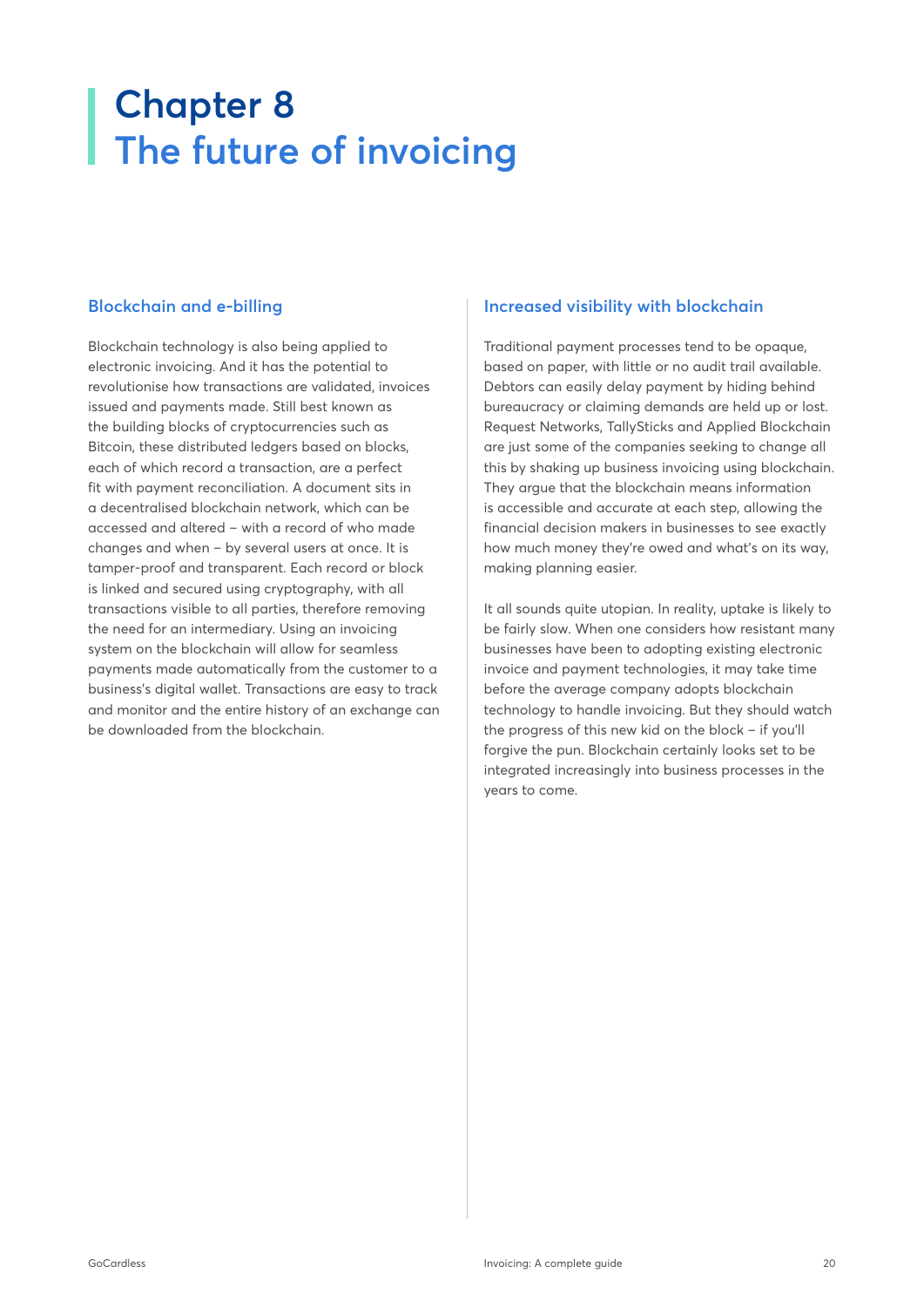# <span id="page-19-0"></span>**Chapter 8 The future of invoicing**

# **Blockchain and e-billing**

Blockchain technology is also being applied to electronic invoicing. And it has the potential to revolutionise how transactions are validated, invoices issued and payments made. Still best known as the building blocks of cryptocurrencies such as Bitcoin, these distributed ledgers based on blocks, each of which record a transaction, are a perfect fit with payment reconciliation. A document sits in a decentralised blockchain network, which can be accessed and altered – with a record of who made changes and when – by several users at once. It is tamper-proof and transparent. Each record or block is linked and secured using cryptography, with all transactions visible to all parties, therefore removing the need for an intermediary. Using an invoicing system on the blockchain will allow for seamless payments made automatically from the customer to a business's digital wallet. Transactions are easy to track and monitor and the entire history of an exchange can be downloaded from the blockchain.

### **Increased visibility with blockchain**

Traditional payment processes tend to be opaque, based on paper, with little or no audit trail available. Debtors can easily delay payment by hiding behind bureaucracy or claiming demands are held up or lost. Request Networks, TallySticks and Applied Blockchain are just some of the companies seeking to change all this by shaking up business invoicing using blockchain. They argue that the blockchain means information is accessible and accurate at each step, allowing the financial decision makers in businesses to see exactly how much money they're owed and what's on its way, making planning easier.

It all sounds quite utopian. In reality, uptake is likely to be fairly slow. When one considers how resistant many businesses have been to adopting existing electronic invoice and payment technologies, it may take time before the average company adopts blockchain technology to handle invoicing. But they should watch the progress of this new kid on the block – if you'll forgive the pun. Blockchain certainly looks set to be integrated increasingly into business processes in the years to come.